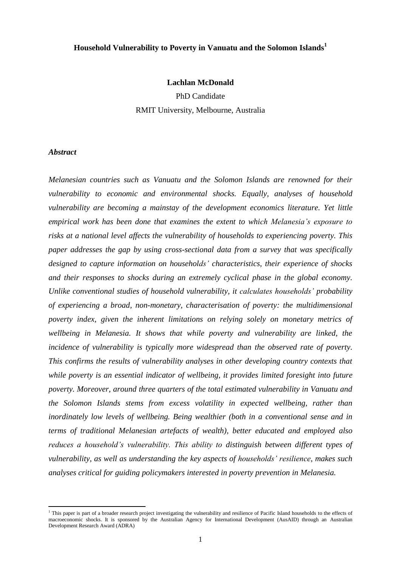## **Household Vulnerability to Poverty in Vanuatu and the Solomon Islands<sup>1</sup>**

#### **Lachlan McDonald**

PhD Candidate RMIT University, Melbourne, Australia

#### *Abstract*

 $\overline{a}$ 

*Melanesian countries such as Vanuatu and the Solomon Islands are renowned for their vulnerability to economic and environmental shocks. Equally, analyses of household vulnerability are becoming a mainstay of the development economics literature. Yet little empirical work has been done that examines the extent to which Melanesia's exposure to risks at a national level affects the vulnerability of households to experiencing poverty. This paper addresses the gap by using cross-sectional data from a survey that was specifically designed to capture information on households' characteristics, their experience of shocks and their responses to shocks during an extremely cyclical phase in the global economy. Unlike conventional studies of household vulnerability, it calculates households' probability of experiencing a broad, non-monetary, characterisation of poverty: the multidimensional poverty index, given the inherent limitations on relying solely on monetary metrics of wellbeing in Melanesia. It shows that while poverty and vulnerability are linked, the incidence of vulnerability is typically more widespread than the observed rate of poverty. This confirms the results of vulnerability analyses in other developing country contexts that while poverty is an essential indicator of wellbeing, it provides limited foresight into future poverty. Moreover, around three quarters of the total estimated vulnerability in Vanuatu and the Solomon Islands stems from excess volatility in expected wellbeing, rather than inordinately low levels of wellbeing. Being wealthier (both in a conventional sense and in terms of traditional Melanesian artefacts of wealth), better educated and employed also reduces a household's vulnerability. This ability to distinguish between different types of vulnerability, as well as understanding the key aspects of households' resilience, makes such analyses critical for guiding policymakers interested in poverty prevention in Melanesia.*

<sup>&</sup>lt;sup>1</sup> This paper is part of a broader research project investigating the vulnerability and resilience of Pacific Island households to the effects of macroeconomic shocks. It is sponsored by the Australian Agency for International Development (AusAID) through an Australian Development Research Award (ADRA)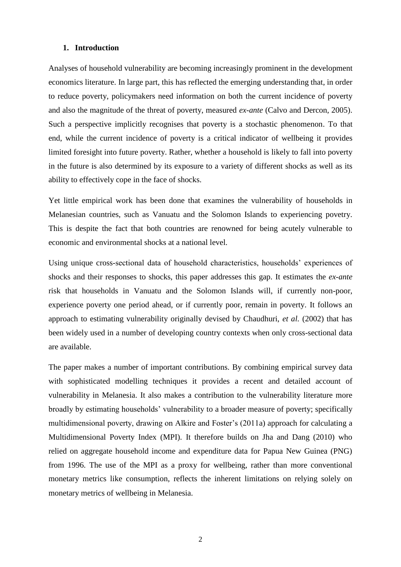### **1. Introduction**

Analyses of household vulnerability are becoming increasingly prominent in the development economics literature. In large part, this has reflected the emerging understanding that, in order to reduce poverty, policymakers need information on both the current incidence of poverty and also the magnitude of the threat of poverty, measured *ex-ante* (Calvo and Dercon, 2005). Such a perspective implicitly recognises that poverty is a stochastic phenomenon. To that end, while the current incidence of poverty is a critical indicator of wellbeing it provides limited foresight into future poverty. Rather, whether a household is likely to fall into poverty in the future is also determined by its exposure to a variety of different shocks as well as its ability to effectively cope in the face of shocks.

Yet little empirical work has been done that examines the vulnerability of households in Melanesian countries, such as Vanuatu and the Solomon Islands to experiencing povetry. This is despite the fact that both countries are renowned for being acutely vulnerable to economic and environmental shocks at a national level.

Using unique cross-sectional data of household characteristics, households' experiences of shocks and their responses to shocks, this paper addresses this gap. It estimates the *ex-ante* risk that households in Vanuatu and the Solomon Islands will, if currently non-poor, experience poverty one period ahead, or if currently poor, remain in poverty. It follows an approach to estimating vulnerability originally devised by Chaudhuri, *et al.* (2002) that has been widely used in a number of developing country contexts when only cross-sectional data are available.

The paper makes a number of important contributions. By combining empirical survey data with sophisticated modelling techniques it provides a recent and detailed account of vulnerability in Melanesia. It also makes a contribution to the vulnerability literature more broadly by estimating households' vulnerability to a broader measure of poverty; specifically multidimensional poverty, drawing on Alkire and Foster's (2011a) approach for calculating a Multidimensional Poverty Index (MPI). It therefore builds on Jha and Dang (2010) who relied on aggregate household income and expenditure data for Papua New Guinea (PNG) from 1996. The use of the MPI as a proxy for wellbeing, rather than more conventional monetary metrics like consumption, reflects the inherent limitations on relying solely on monetary metrics of wellbeing in Melanesia.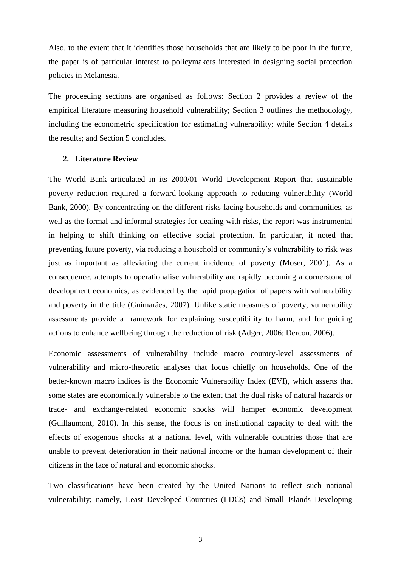Also, to the extent that it identifies those households that are likely to be poor in the future, the paper is of particular interest to policymakers interested in designing social protection policies in Melanesia.

The proceeding sections are organised as follows: Section 2 provides a review of the empirical literature measuring household vulnerability; Section 3 outlines the methodology, including the econometric specification for estimating vulnerability; while Section 4 details the results; and Section 5 concludes.

## **2. Literature Review**

The World Bank articulated in its 2000/01 World Development Report that sustainable poverty reduction required a forward-looking approach to reducing vulnerability (World Bank, 2000). By concentrating on the different risks facing households and communities, as well as the formal and informal strategies for dealing with risks, the report was instrumental in helping to shift thinking on effective social protection. In particular, it noted that preventing future poverty, via reducing a household or community's vulnerability to risk was just as important as alleviating the current incidence of poverty (Moser, 2001). As a consequence, attempts to operationalise vulnerability are rapidly becoming a cornerstone of development economics, as evidenced by the rapid propagation of papers with vulnerability and poverty in the title (Guimarães, 2007). Unlike static measures of poverty, vulnerability assessments provide a framework for explaining susceptibility to harm, and for guiding actions to enhance wellbeing through the reduction of risk (Adger, 2006; Dercon, 2006).

Economic assessments of vulnerability include macro country-level assessments of vulnerability and micro-theoretic analyses that focus chiefly on households. One of the better-known macro indices is the Economic Vulnerability Index (EVI), which asserts that some states are economically vulnerable to the extent that the dual risks of natural hazards or trade- and exchange-related economic shocks will hamper economic development (Guillaumont, 2010). In this sense, the focus is on institutional capacity to deal with the effects of exogenous shocks at a national level, with vulnerable countries those that are unable to prevent deterioration in their national income or the human development of their citizens in the face of natural and economic shocks.

Two classifications have been created by the United Nations to reflect such national vulnerability; namely, Least Developed Countries (LDCs) and Small Islands Developing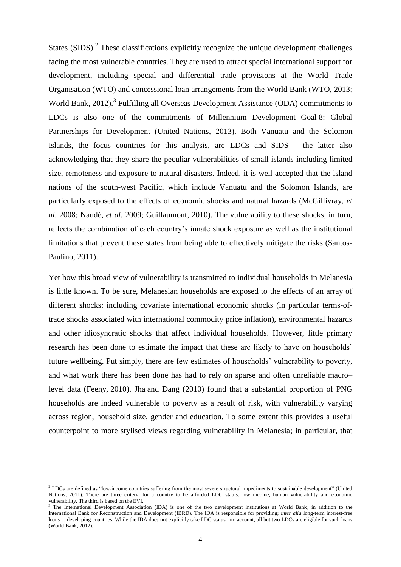States  $(SIDS)$ .<sup>2</sup> These classifications explicitly recognize the unique development challenges facing the most vulnerable countries. They are used to attract special international support for development, including special and differential trade provisions at the World Trade Organisation (WTO) and concessional loan arrangements from the World Bank (WTO, 2013; World Bank, 2012). 3 Fulfilling all Overseas Development Assistance (ODA) commitments to LDCs is also one of the commitments of Millennium Development Goal 8: Global Partnerships for Development (United Nations, 2013). Both Vanuatu and the Solomon Islands, the focus countries for this analysis, are LDCs and SIDS – the latter also acknowledging that they share the peculiar vulnerabilities of small islands including limited size, remoteness and exposure to natural disasters. Indeed, it is well accepted that the island nations of the south-west Pacific, which include Vanuatu and the Solomon Islands, are particularly exposed to the effects of economic shocks and natural hazards (McGillivray, *et al*. 2008; Naudé, *et al*. 2009; Guillaumont, 2010). The vulnerability to these shocks, in turn, reflects the combination of each country's innate shock exposure as well as the institutional limitations that prevent these states from being able to effectively mitigate the risks (Santos-Paulino, 2011).

Yet how this broad view of vulnerability is transmitted to individual households in Melanesia is little known. To be sure, Melanesian households are exposed to the effects of an array of different shocks: including covariate international economic shocks (in particular terms-oftrade shocks associated with international commodity price inflation), environmental hazards and other idiosyncratic shocks that affect individual households. However, little primary research has been done to estimate the impact that these are likely to have on households' future wellbeing. Put simply, there are few estimates of households' vulnerability to poverty, and what work there has been done has had to rely on sparse and often unreliable macro– level data (Feeny, 2010). Jha and Dang (2010) found that a substantial proportion of PNG households are indeed vulnerable to poverty as a result of risk, with vulnerability varying across region, household size, gender and education. To some extent this provides a useful counterpoint to more stylised views regarding vulnerability in Melanesia; in particular, that

1

 $<sup>2</sup>$  LDCs are defined as "low-income countries suffering from the most severe structural impediments to sustainable development" (United</sup> Nations, 2011). There are three criteria for a country to be afforded LDC status: low income, human vulnerability and economic vulnerability. The third is based on the EVI.

<sup>3</sup> The International Development Association (IDA) is one of the two development institutions at World Bank; in addition to the International Bank for Reconstruction and Development (IBRD). The IDA is responsible for providing; *inter alia* long-term interest-free loans to developing countries. While the IDA does not explicitly take LDC status into account, all but two LDCs are eligible for such loans (World Bank, 2012).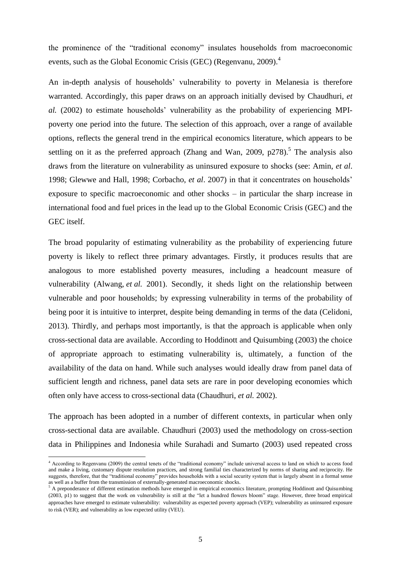the prominence of the "traditional economy" insulates households from macroeconomic events, such as the Global Economic Crisis (GEC) (Regenvanu, 2009).<sup>4</sup>

An in-depth analysis of households' vulnerability to poverty in Melanesia is therefore warranted. Accordingly, this paper draws on an approach initially devised by Chaudhuri, *et al.* (2002) to estimate households' vulnerability as the probability of experiencing MPIpoverty one period into the future. The selection of this approach, over a range of available options, reflects the general trend in the empirical economics literature, which appears to be settling on it as the preferred approach (Zhang and Wan, 2009,  $p278$ ).<sup>5</sup> The analysis also draws from the literature on vulnerability as uninsured exposure to shocks (see: Amin, *et al*. 1998; Glewwe and Hall, 1998; Corbacho, *et al*. 2007) in that it concentrates on households' exposure to specific macroeconomic and other shocks – in particular the sharp increase in international food and fuel prices in the lead up to the Global Economic Crisis (GEC) and the GEC itself.

The broad popularity of estimating vulnerability as the probability of experiencing future poverty is likely to reflect three primary advantages. Firstly, it produces results that are analogous to more established poverty measures, including a headcount measure of vulnerability (Alwang, *et al.* 2001). Secondly, it sheds light on the relationship between vulnerable and poor households; by expressing vulnerability in terms of the probability of being poor it is intuitive to interpret, despite being demanding in terms of the data (Celidoni, 2013). Thirdly, and perhaps most importantly, is that the approach is applicable when only cross-sectional data are available. According to Hoddinott and Quisumbing (2003) the choice of appropriate approach to estimating vulnerability is, ultimately, a function of the availability of the data on hand. While such analyses would ideally draw from panel data of sufficient length and richness, panel data sets are rare in poor developing economies which often only have access to cross-sectional data (Chaudhuri, *et al.* 2002).

The approach has been adopted in a number of different contexts, in particular when only cross-sectional data are available. Chaudhuri (2003) used the methodology on cross-section data in Philippines and Indonesia while Surahadi and Sumarto (2003) used repeated cross

**.** 

<sup>&</sup>lt;sup>4</sup> According to Regenvanu (2009) the central tenets of the "traditional economy" include universal access to land on which to access food and make a living, customary dispute resolution practices, and strong familial ties characterized by norms of sharing and reciprocity. He suggests, therefore, that the "traditional economy" provides households with a social security system that is largely absent in a formal sense as well as a buffer from the transmission of externally-generated macroeconomic shocks.

 $5$  A preponderance of different estimation methods have emerged in empirical economics literature, prompting Hoddinott and Quisumbing (2003, p1) to suggest that the work on vulnerability is still at the "let a hundred flowers bloom" stage. However, three broad empirical approaches have emerged to estimate vulnerability: vulnerability as expected poverty approach (VEP); vulnerability as uninsured exposure to risk (VER); and vulnerability as low expected utility (VEU).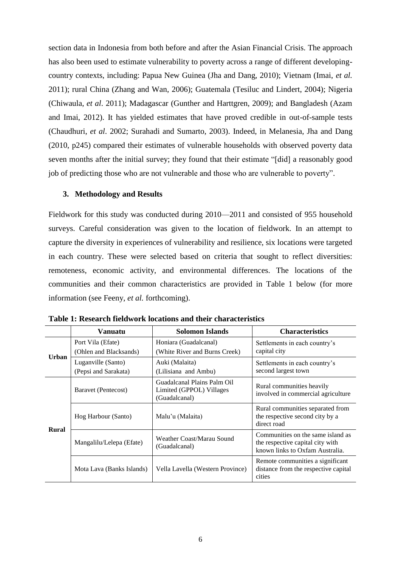section data in Indonesia from both before and after the Asian Financial Crisis. The approach has also been used to estimate vulnerability to poverty across a range of different developingcountry contexts, including: Papua New Guinea (Jha and Dang, 2010); Vietnam (Imai, *et al.* 2011); rural China (Zhang and Wan, 2006); Guatemala (Tesiluc and Lindert, 2004); Nigeria (Chiwaula, *et al*. 2011); Madagascar (Gunther and Harttgren, 2009); and Bangladesh (Azam and Imai, 2012). It has yielded estimates that have proved credible in out-of-sample tests (Chaudhuri, *et al*. 2002; Surahadi and Sumarto, 2003). Indeed, in Melanesia, Jha and Dang (2010, p245) compared their estimates of vulnerable households with observed poverty data seven months after the initial survey; they found that their estimate "[did] a reasonably good job of predicting those who are not vulnerable and those who are vulnerable to poverty".

#### **3. Methodology and Results**

Fieldwork for this study was conducted during 2010—2011 and consisted of 955 household surveys. Careful consideration was given to the location of fieldwork. In an attempt to capture the diversity in experiences of vulnerability and resilience, six locations were targeted in each country. These were selected based on criteria that sought to reflect diversities: remoteness, economic activity, and environmental differences. The locations of the communities and their common characteristics are provided in Table 1 below (for more information (see Feeny, *et al.* forthcoming).

|              | Vanuatu                                                                                         | <b>Solomon Islands</b>                                 | <b>Characteristics</b>                                                                                   |
|--------------|-------------------------------------------------------------------------------------------------|--------------------------------------------------------|----------------------------------------------------------------------------------------------------------|
| <b>Urban</b> | Port Vila (Efate)<br>(Ohlen and Blacksands)                                                     | Honiara (Guadalcanal)<br>(White River and Burns Creek) | Settlements in each country's<br>capital city                                                            |
|              | Luganville (Santo)<br>(Pepsi and Sarakata)                                                      | Auki (Malaita)<br>(Lilisiana and Ambu)                 | Settlements in each country's<br>second largest town                                                     |
|              | Guadalcanal Plains Palm Oil<br>Limited (GPPOL) Villages<br>Baravet (Pentecost)<br>(Guadalcanal) |                                                        | Rural communities heavily<br>involved in commercial agriculture                                          |
| <b>Rural</b> | Hog Harbour (Santo)                                                                             | Malu'u (Malaita)                                       | Rural communities separated from<br>the respective second city by a<br>direct road                       |
|              | Mangalilu/Lelepa (Efate)                                                                        | Weather Coast/Marau Sound<br>(Guadalcanal)             | Communities on the same island as<br>the respective capital city with<br>known links to Oxfam Australia. |
|              | Mota Lava (Banks Islands)                                                                       | Vella Lavella (Western Province)                       | Remote communities a significant<br>distance from the respective capital<br>cities                       |

**Table 1: Research fieldwork locations and their characteristics**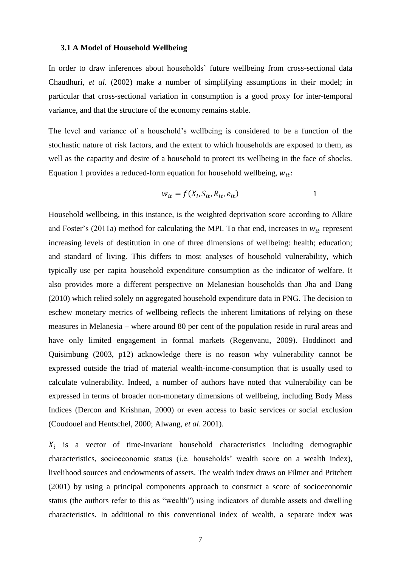#### **3.1 A Model of Household Wellbeing**

In order to draw inferences about households' future wellbeing from cross-sectional data Chaudhuri, *et al.* (2002) make a number of simplifying assumptions in their model; in particular that cross-sectional variation in consumption is a good proxy for inter-temporal variance, and that the structure of the economy remains stable.

The level and variance of a household's wellbeing is considered to be a function of the stochastic nature of risk factors, and the extent to which households are exposed to them, as well as the capacity and desire of a household to protect its wellbeing in the face of shocks. Equation 1 provides a reduced-form equation for household wellbeing,  $w_{it}$ :

$$
w_{it} = f(X_i, S_{it}, R_{it}, e_{it})
$$

Household wellbeing, in this instance, is the weighted deprivation score according to Alkire and Foster's (2011a) method for calculating the MPI. To that end, increases in  $w_{it}$  represent increasing levels of destitution in one of three dimensions of wellbeing: health; education; and standard of living. This differs to most analyses of household vulnerability, which typically use per capita household expenditure consumption as the indicator of welfare. It also provides more a different perspective on Melanesian households than Jha and Dang (2010) which relied solely on aggregated household expenditure data in PNG. The decision to eschew monetary metrics of wellbeing reflects the inherent limitations of relying on these measures in Melanesia – where around 80 per cent of the population reside in rural areas and have only limited engagement in formal markets (Regenvanu, 2009). Hoddinott and Quisimbung (2003, p12) acknowledge there is no reason why vulnerability cannot be expressed outside the triad of material wealth-income-consumption that is usually used to calculate vulnerability. Indeed, a number of authors have noted that vulnerability can be expressed in terms of broader non-monetary dimensions of wellbeing, including Body Mass Indices (Dercon and Krishnan, 2000) or even access to basic services or social exclusion (Coudouel and Hentschel, 2000; Alwang, *et al*. 2001).

 $X_i$  is a vector of time-invariant household characteristics including demographic characteristics, socioeconomic status (i.e. households' wealth score on a wealth index), livelihood sources and endowments of assets. The wealth index draws on Filmer and Pritchett (2001) by using a principal components approach to construct a score of socioeconomic status (the authors refer to this as "wealth") using indicators of durable assets and dwelling characteristics. In additional to this conventional index of wealth, a separate index was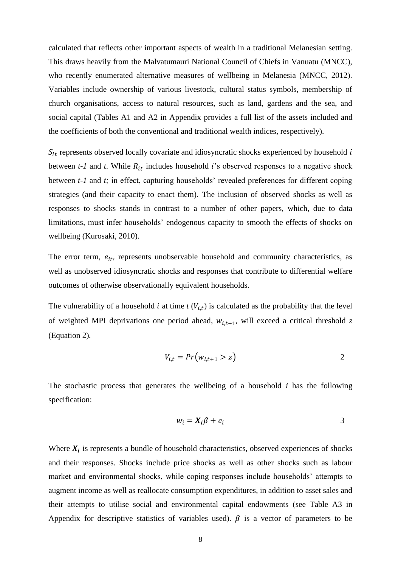calculated that reflects other important aspects of wealth in a traditional Melanesian setting. This draws heavily from the Malvatumauri National Council of Chiefs in Vanuatu (MNCC), who recently enumerated alternative measures of wellbeing in Melanesia (MNCC, 2012). Variables include ownership of various livestock, cultural status symbols, membership of church organisations, access to natural resources, such as land, gardens and the sea, and social capital (Tables A1 and A2 in Appendix provides a full list of the assets included and the coefficients of both the conventional and traditional wealth indices, respectively).

 $S_{it}$  represents observed locally covariate and idiosyncratic shocks experienced by household  $i$ between  $t$ -1 and  $t$ . While  $R_{it}$  includes household  $i$ 's observed responses to a negative shock between *t-1* and *t;* in effect, capturing households' revealed preferences for different coping strategies (and their capacity to enact them). The inclusion of observed shocks as well as responses to shocks stands in contrast to a number of other papers, which, due to data limitations, must infer households' endogenous capacity to smooth the effects of shocks on wellbeing (Kurosaki, 2010).

The error term,  $e_{it}$ , represents unobservable household and community characteristics, as well as unobserved idiosyncratic shocks and responses that contribute to differential welfare outcomes of otherwise observationally equivalent households.

The vulnerability of a household  $i$  at time  $t$  ( $V_{i,t}$ ) is calculated as the probability that the level of weighted MPI deprivations one period ahead,  $w_{i,t+1}$ , will exceed a critical threshold *z* (Equation 2)*.*

$$
V_{i,t} = Pr(w_{i,t+1} > z)
$$

The stochastic process that generates the wellbeing of a household *i* has the following specification:

$$
w_i = X_i \beta + e_i \tag{3}
$$

Where  $X_i$  is represents a bundle of household characteristics, observed experiences of shocks and their responses. Shocks include price shocks as well as other shocks such as labour market and environmental shocks, while coping responses include households' attempts to augment income as well as reallocate consumption expenditures, in addition to asset sales and their attempts to utilise social and environmental capital endowments (see Table A3 in Appendix for descriptive statistics of variables used).  $\beta$  is a vector of parameters to be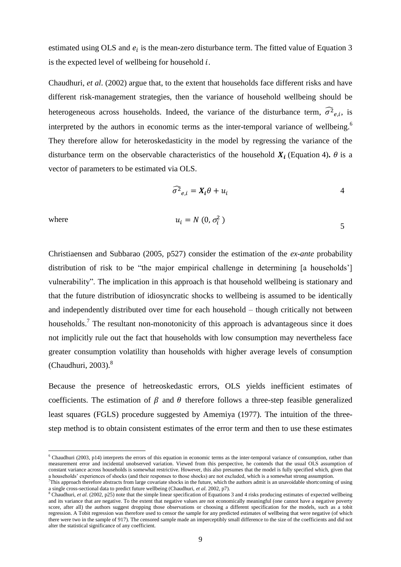estimated using OLS and  $e_i$  is the mean-zero disturbance term. The fitted value of Equation 3 is the expected level of wellbeing for household  $i$ .

Chaudhuri, *et al*. (2002) argue that, to the extent that households face different risks and have different risk-management strategies, then the variance of household wellbeing should be heterogeneous across households. Indeed, the variance of the disturbance term,  $\widehat{\sigma}_{{e,i}}^2$ , is interpreted by the authors in economic terms as the inter-temporal variance of wellbeing.<sup>6</sup> They therefore allow for heteroskedasticity in the model by regressing the variance of the disturbance term on the observable characteristics of the household  $X_i$  (Equation 4).  $\theta$  is a vector of parameters to be estimated via OLS.

$$
\widehat{\sigma^2}_{e,i} = X_i \theta + u_i \tag{4}
$$

 $\overline{a}$ 

where 
$$
u_i = N(0, \sigma_i^2)
$$

Christiaensen and Subbarao (2005, p527) consider the estimation of the *ex-ante* probability distribution of risk to be "the major empirical challenge in determining  $[a]$  households" vulnerability". The implication in this approach is that household wellbeing is stationary and that the future distribution of idiosyncratic shocks to wellbeing is assumed to be identically and independently distributed over time for each household – though critically not between households.<sup>7</sup> The resultant non-monotonicity of this approach is advantageous since it does not implicitly rule out the fact that households with low consumption may nevertheless face greater consumption volatility than households with higher average levels of consumption (Chaudhuri, 2003). $8$ 

Because the presence of hetreoskedastic errors, OLS yields inefficient estimates of coefficients. The estimation of  $\beta$  and  $\theta$  therefore follows a three-step feasible generalized least squares (FGLS) procedure suggested by Amemiya (1977). The intuition of the threestep method is to obtain consistent estimates of the error term and then to use these estimates

 $6$  Chaudhuri (2003, p14) interprets the errors of this equation in economic terms as the inter-temporal variance of consumption, rather than measurement error and incidental unobserved variation. Viewed from this perspective, he contends that the usual OLS assumption of constant variance across households is somewhat restrictive. However, this also presumes that the model is fully specified which, given that a households' experiences of shocks (and their responses to those shocks) are not excluded, which is a somewhat strong assumption.

<sup>7</sup>This approach therefore abstracts from large covariate shocks in the future, which the authors admit is an unavoidable shortcoming of using a single cross-sectional data to predict future wellbeing (Chaudhuri, *et al.* 2002, p7).

<sup>&</sup>lt;sup>8</sup> Chaudhuri, *et al.* (2002, p25) note that the simple linear specification of Equations 3 and 4 risks producing estimates of expected wellbeing and its variance that are negative. To the extent that negative values are not economically meaningful (one cannot have a negative poverty score, after all) the authors suggest dropping those observations or choosing a different specification for the models, such as a tobit regression. A Tobit regression was therefore used to censor the sample for any predicted estimates of wellbeing that were negative (of which there were two in the sample of 917). The censored sample made an imperceptibly small difference to the size of the coefficients and did not alter the statistical significance of any coefficient.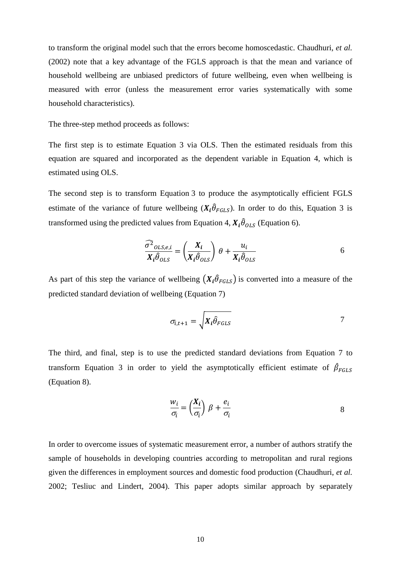to transform the original model such that the errors become homoscedastic. Chaudhuri, *et al.* (2002) note that a key advantage of the FGLS approach is that the mean and variance of household wellbeing are unbiased predictors of future wellbeing, even when wellbeing is measured with error (unless the measurement error varies systematically with some household characteristics).

The three-step method proceeds as follows:

The first step is to estimate Equation 3 via OLS. Then the estimated residuals from this equation are squared and incorporated as the dependent variable in Equation 4, which is estimated using OLS.

The second step is to transform Equation 3 to produce the asymptotically efficient FGLS estimate of the variance of future wellbeing  $(X_i \hat{\theta}_{FGLS})$ . In order to do this, Equation 3 is transformed using the predicted values from Equation 4,  $X_i \hat{\theta}_{OLS}$  (Equation 6).

$$
\frac{\widehat{\sigma^2}_{OLS,e,i}}{X_i \widehat{\theta}_{OLS}} = \left(\frac{X_i}{X_i \widehat{\theta}_{OLS}}\right) \theta + \frac{u_i}{X_i \widehat{\theta}_{OLS}} \tag{6}
$$

As part of this step the variance of wellbeing  $(X_i \hat{\theta}_{FGLS})$  is converted into a measure of the predicted standard deviation of wellbeing (Equation 7)

$$
\sigma_{i,t+1} = \sqrt{X_i \hat{\theta}_{FGLS}}
$$

The third, and final, step is to use the predicted standard deviations from Equation 7 to transform Equation 3 in order to yield the asymptotically efficient estimate of  $\hat{\beta}_F$ (Equation 8).

$$
\frac{w_i}{\sigma_i} = \left(\frac{X_i}{\sigma_i}\right) \beta + \frac{e_i}{\sigma_i} \tag{8}
$$

In order to overcome issues of systematic measurement error, a number of authors stratify the sample of households in developing countries according to metropolitan and rural regions given the differences in employment sources and domestic food production (Chaudhuri, *et al.* 2002; Tesliuc and Lindert, 2004). This paper adopts similar approach by separately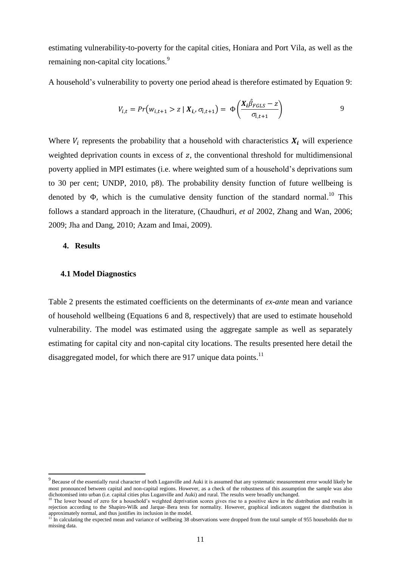estimating vulnerability-to-poverty for the capital cities, Honiara and Port Vila, as well as the remaining non-capital city locations.<sup>9</sup>

A household's vulnerability to poverty one period ahead is therefore estimated by Equation 9:

$$
V_{i,t} = Pr(w_{i,t+1} > z | X_{i}, \sigma_{i,t+1}) = \Phi\left(\frac{X_i \hat{\beta}_{FGLS} - z}{\sigma_{i,t+1}}\right)
$$

Where  $V_i$  represents the probability that a household with characteristics  $X_i$  will experience weighted deprivation counts in excess of  $z$ , the conventional threshold for multidimensional poverty applied in MPI estimates (i.e. where weighted sum of a household's deprivations sum to 30 per cent; UNDP, 2010, p8). The probability density function of future wellbeing is denoted by  $\Phi$ , which is the cumulative density function of the standard normal.<sup>10</sup> This follows a standard approach in the literature, (Chaudhuri, *et al* 2002, Zhang and Wan, 2006; 2009; Jha and Dang, 2010; Azam and Imai, 2009).

#### **4. Results**

**.** 

## **4.1 Model Diagnostics**

Table 2 presents the estimated coefficients on the determinants of *ex-ante* mean and variance of household wellbeing (Equations 6 and 8, respectively) that are used to estimate household vulnerability. The model was estimated using the aggregate sample as well as separately estimating for capital city and non-capital city locations. The results presented here detail the disaggregated model, for which there are 917 unique data points.<sup>11</sup>

 $9$  Because of the essentially rural character of both Luganville and Auki it is assumed that any systematic measurement error would likely be most pronounced between capital and non-capital regions. However, as a check of the robustness of this assumption the sample was also dichotomised into urban (i.e. capital cities plus Luganville and Auki) and rural. The results were broadly unchanged.

<sup>&</sup>lt;sup>10</sup> The lower bound of zero for a household's weighted deprivation scores gives rise to a positive skew in the distribution and results in rejection according to the Shapiro-Wilk and Jarque–Bera tests for normality. However, graphical indicators suggest the distribution is approximately normal, and thus justifies its inclusion in the model.

<sup>&</sup>lt;sup>11</sup> In calculating the expected mean and variance of wellbeing 38 observations were dropped from the total sample of 955 households due to missing data.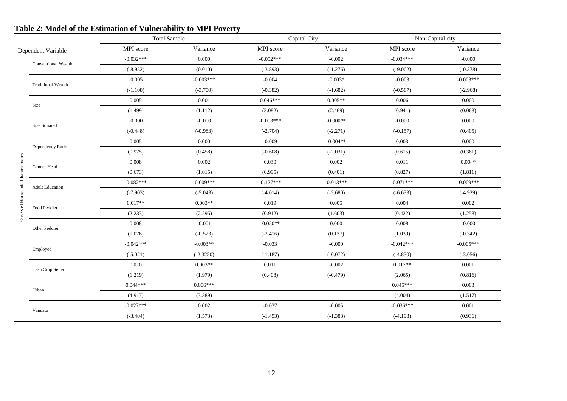|                                    |                           | <b>Total Sample</b> |             |             | Capital City |             | Non-Capital city |  |
|------------------------------------|---------------------------|---------------------|-------------|-------------|--------------|-------------|------------------|--|
|                                    | Dependent Variable        | MPI score           | Variance    | MPI score   | Variance     | MPI score   | Variance         |  |
|                                    |                           | $-0.032***$         | 0.000       | $-0.052***$ | $-0.002$     | $-0.034***$ | $-0.000$         |  |
|                                    | Conventional Wealth       | $(-8.952)$          | (0.010)     | $(-3.893)$  | $(-1.276)$   | $(-9.002)$  | $(-0.378)$       |  |
|                                    |                           | $-0.005$            | $-0.003***$ | $-0.004$    | $-0.003*$    | $-0.003$    | $-0.003***$      |  |
|                                    | <b>Traditional Wealth</b> | $(-1.108)$          | $(-3.700)$  | $(-0.382)$  | $(-1.682)$   | $(-0.587)$  | $(-2.968)$       |  |
|                                    | Size                      | 0.005               | 0.001       | $0.046***$  | $0.005**$    | 0.006       | 0.000            |  |
|                                    |                           | (1.499)             | (1.112)     | (3.082)     | (2.469)      | (0.941)     | (0.063)          |  |
|                                    | Size Squared              | $-0.000$            | $-0.000$    | $-0.003***$ | $-0.000**$   | $-0.000$    | 0.000            |  |
|                                    |                           | $(-0.448)$          | $(-0.983)$  | $(-2.704)$  | $(-2.271)$   | $(-0.157)$  | (0.405)          |  |
|                                    |                           | 0.005               | 0.000       | $-0.009$    | $-0.004**$   | 0.003       | 0.000            |  |
|                                    | Dependency Ratio          | (0.975)             | (0.458)     | $(-0.608)$  | $(-2.031)$   | (0.615)     | (0.361)          |  |
| Observed Household Characteristics | Gender Head               | 0.008               | 0.002       | 0.030       | 0.002        | 0.011       | $0.004*$         |  |
|                                    |                           | (0.673)             | (1.015)     | (0.995)     | (0.401)      | (0.827)     | (1.811)          |  |
|                                    | <b>Adult Education</b>    | $-0.082***$         | $-0.009***$ | $-0.127***$ | $-0.013***$  | $-0.071***$ | $-0.009***$      |  |
|                                    |                           | $(-7.903)$          | $(-5.043)$  | $(-4.014)$  | $(-2.680)$   | $(-6.633)$  | $(-4.929)$       |  |
|                                    |                           | $0.017**$           | $0.003**$   | 0.019       | 0.005        | 0.004       | 0.002            |  |
|                                    | Food Peddler              | (2.233)             | (2.295)     | (0.912)     | (1.603)      | (0.422)     | (1.258)          |  |
|                                    | Other Peddler             | 0.008               | $-0.001$    | $-0.050**$  | 0.000        | 0.008       | $-0.000$         |  |
|                                    |                           | (1.076)             | $(-0.523)$  | $(-2.416)$  | (0.137)      | (1.039)     | $(-0.342)$       |  |
|                                    |                           | $-0.042***$         | $-0.003**$  | $-0.033$    | $-0.000$     | $-0.042***$ | $-0.005***$      |  |
|                                    | Employed                  | $(-5.021)$          | $(-2.3250)$ | $(-1.187)$  | $(-0.072)$   | $(-4.830)$  | $(-3.056)$       |  |
|                                    |                           | 0.010               | $0.003**$   | 0.011       | $-0.002$     | $0.017**$   | 0.001            |  |
|                                    | Cash Crop Seller          | (1.219)             | (1.979)     | (0.408)     | $(-0.479)$   | (2.065)     | (0.816)          |  |
|                                    |                           | $0.044***$          | $0.006***$  |             |              | $0.045***$  | 0.003            |  |
|                                    | Urban                     | (4.917)             | (3.389)     |             |              | (4.004)     | (1.517)          |  |
|                                    |                           | $-0.027***$         | 0.002       | $-0.037$    | $-0.005$     | $-0.036***$ | 0.001            |  |
|                                    | Vanuatu                   | $(-3.404)$          | (1.573)     | $(-1.453)$  | $(-1.388)$   | $(-4.198)$  | (0.936)          |  |
|                                    |                           |                     |             |             |              |             |                  |  |

# **Table 2: Model of the Estimation of Vulnerability to MPI Poverty**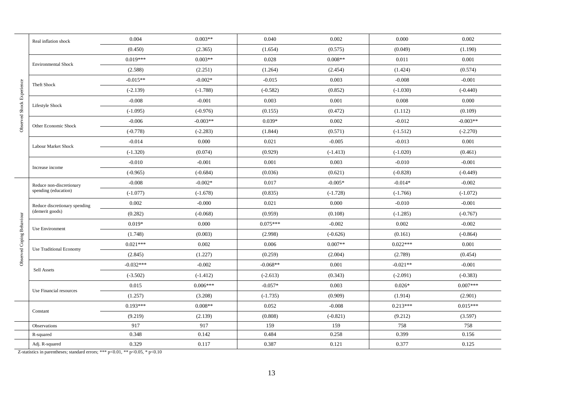|                           | Real inflation shock           | 0.004       | $0.003**$  | 0.040      | 0.002      | 0.000      | 0.002      |
|---------------------------|--------------------------------|-------------|------------|------------|------------|------------|------------|
|                           |                                | (0.450)     | (2.365)    | (1.654)    | (0.575)    | (0.049)    | (1.190)    |
|                           | <b>Environmental Shock</b>     | $0.019***$  | $0.003**$  | 0.028      | $0.008**$  | 0.011      | 0.001      |
|                           |                                | (2.588)     | (2.251)    | (1.264)    | (2.454)    | (1.424)    | (0.574)    |
|                           |                                | $-0.015**$  | $-0.002*$  | $-0.015$   | 0.003      | $-0.008$   | $-0.001$   |
|                           | Theft Shock                    | $(-2.139)$  | $(-1.788)$ | $(-0.582)$ | (0.852)    | $(-1.030)$ | $(-0.440)$ |
| Observed Shock Experience |                                | $-0.008$    | $-0.001$   | 0.003      | 0.001      | 0.008      | 0.000      |
|                           | Lifestyle Shock                | $(-1.095)$  | $(-0.976)$ | (0.155)    | (0.472)    | (1.112)    | (0.109)    |
|                           |                                | $-0.006$    | $-0.003**$ | $0.039*$   | 0.002      | $-0.012$   | $-0.003**$ |
|                           | Other Economic Shock           | $(-0.778)$  | $(-2.283)$ | (1.844)    | (0.571)    | $(-1.512)$ | $(-2.270)$ |
|                           |                                | $-0.014$    | 0.000      | 0.021      | $-0.005$   | $-0.013$   | 0.001      |
|                           | Labour Market Shock            | $(-1.320)$  | (0.074)    | (0.929)    | $(-1.413)$ | $(-1.020)$ | (0.461)    |
|                           |                                | $-0.010$    | $-0.001$   | 0.001      | 0.003      | $-0.010$   | $-0.001$   |
|                           | Increase income                | $(-0.965)$  | $(-0.684)$ | (0.036)    | (0.621)    | $(-0.828)$ | $(-0.449)$ |
|                           | Reduce non-discretionary       | $-0.008$    | $-0.002*$  | 0.017      | $-0.005*$  | $-0.014*$  | $-0.002$   |
|                           | spending (education)           | $(-1.077)$  | $(-1.678)$ | (0.835)    | $(-1.728)$ | $(-1.766)$ | $(-1.072)$ |
|                           | Reduce discretionary spending  | 0.002       | $-0.000$   | 0.021      | 0.000      | $-0.010$   | $-0.001$   |
|                           | (demerit goods)                | (0.282)     | $(-0.068)$ | (0.959)    | (0.108)    | $(-1.285)$ | $(-0.767)$ |
| Observed Coping Behaviour |                                | $0.019*$    | 0.000      | $0.075***$ | $-0.002$   | 0.002      | $-0.002$   |
|                           | <b>Use Environment</b>         | (1.748)     | (0.003)    | (2.998)    | $(-0.626)$ | (0.161)    | $(-0.864)$ |
|                           |                                | $0.021***$  | 0.002      | 0.006      | $0.007**$  | $0.022***$ | 0.001      |
|                           | <b>Use Traditional Economy</b> | (2.845)     | (1.227)    | (0.259)    | (2.004)    | (2.789)    | (0.454)    |
|                           |                                | $-0.032***$ | $-0.002$   | $-0.068**$ | 0.001      | $-0.021**$ | $-0.001$   |
|                           | Sell Assets                    | $(-3.502)$  | $(-1.412)$ | $(-2.613)$ | (0.343)    | $(-2.091)$ | $(-0.383)$ |
|                           |                                | 0.015       | $0.006***$ | $-0.057*$  | 0.003      | $0.026*$   | $0.007***$ |
|                           | Use Financial resources        | (1.257)     | (3.208)    | $(-1.735)$ | (0.909)    | (1.914)    | (2.901)    |
|                           |                                | $0.193***$  | $0.008**$  | 0.052      | $-0.008$   | $0.213***$ | $0.015***$ |
|                           | Constant                       | (9.219)     | (2.139)    | (0.808)    | $(-0.821)$ | (9.212)    | (3.597)    |
|                           | Observations                   | 917         | 917        | 159        | 159        | 758        | 758        |
|                           | R-squared                      | 0.348       | 0.142      | 0.484      | 0.258      | 0.399      | 0.156      |
|                           | Adj. R-squared                 | 0.329       | 0.117      | 0.387      | 0.121      | 0.377      | 0.125      |

Z -statistics in parentheses; standard errors; \*\*\* p<0.01, \*\* p<0.05, \* p<0.10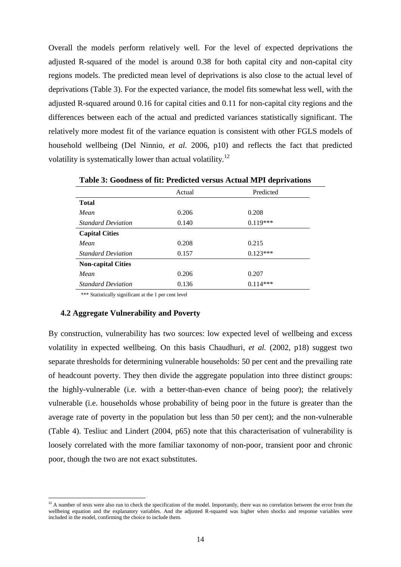Overall the models perform relatively well. For the level of expected deprivations the adjusted R-squared of the model is around 0.38 for both capital city and non-capital city regions models. The predicted mean level of deprivations is also close to the actual level of deprivations (Table 3). For the expected variance, the model fits somewhat less well, with the adjusted R-squared around 0.16 for capital cities and 0.11 for non-capital city regions and the differences between each of the actual and predicted variances statistically significant. The relatively more modest fit of the variance equation is consistent with other FGLS models of household wellbeing (Del Ninnio, *et al.* 2006, p10) and reflects the fact that predicted volatility is systematically lower than actual volatility.<sup>12</sup>

|                           | Actual | Predicted  |  |
|---------------------------|--------|------------|--|
| <b>Total</b>              |        |            |  |
| Mean                      | 0.206  | 0.208      |  |
| <b>Standard Deviation</b> | 0.140  | $0.119***$ |  |
| <b>Capital Cities</b>     |        |            |  |
| Mean                      | 0.208  | 0.215      |  |
| <b>Standard Deviation</b> | 0.157  | $0.123***$ |  |
| <b>Non-capital Cities</b> |        |            |  |
| Mean                      | 0.206  | 0.207      |  |
| <b>Standard Deviation</b> | 0.136  | $0.114***$ |  |

**Table 3: Goodness of fit: Predicted versus Actual MPI deprivations**

\*\*\* Statistically significant at the 1 per cent level

#### **4.2 Aggregate Vulnerability and Poverty**

 $\overline{a}$ 

By construction, vulnerability has two sources: low expected level of wellbeing and excess volatility in expected wellbeing. On this basis Chaudhuri, *et al.* (2002, p18) suggest two separate thresholds for determining vulnerable households: 50 per cent and the prevailing rate of headcount poverty. They then divide the aggregate population into three distinct groups: the highly-vulnerable (i.e. with a better-than-even chance of being poor); the relatively vulnerable (i.e. households whose probability of being poor in the future is greater than the average rate of poverty in the population but less than 50 per cent); and the non-vulnerable (Table 4). Tesliuc and Lindert (2004, p65) note that this characterisation of vulnerability is loosely correlated with the more familiar taxonomy of non-poor, transient poor and chronic poor, though the two are not exact substitutes.

 $12$  A number of tests were also run to check the specification of the model. Importantly, there was no correlation between the error from the wellbeing equation and the explanatory variables. And the adjusted R-squared was higher when shocks and response variables were included in the model, confirming the choice to include them.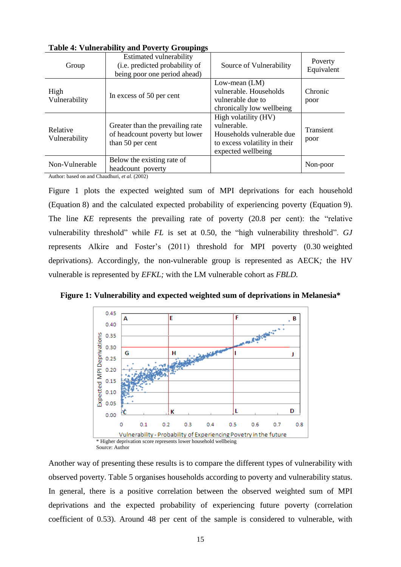| Group                                                                                               | <b>Estimated vulnerability</b><br>(i.e. predicted probability of<br>being poor one period ahead)     | Source of Vulnerability                                                                                                 | Poverty<br>Equivalent |
|-----------------------------------------------------------------------------------------------------|------------------------------------------------------------------------------------------------------|-------------------------------------------------------------------------------------------------------------------------|-----------------------|
| High<br>Vulnerability                                                                               | In excess of 50 per cent                                                                             | Low-mean $(LM)$<br>vulnerable. Households<br>vulnerable due to<br>chronically low wellbeing                             | Chronic<br>poor       |
| Relative<br>Vulnerability                                                                           | Greater than the prevailing rate<br>of headcount poverty but lower<br>than 50 per cent               | High volatility (HV)<br>vulnerable.<br>Households vulnerable due<br>to excess volatility in their<br>expected wellbeing | Transient<br>poor     |
| Non-Vulnerable<br>$\mathbf{A}$ and $\mathbf{A}$ and $\mathbf{A}$ and $\mathbf{A}$<br>1 <sub>0</sub> | Below the existing rate of<br>headcount poverty<br>$11 \tcdot 1 \tcdot 1 \tcdot 0 \tcdot 0 \tcdot 1$ |                                                                                                                         | Non-poor              |

**Table 4: Vulnerability and Poverty Groupings**

Author: based on and Chaudhuri, *et al.* (2002)

Figure 1 plots the expected weighted sum of MPI deprivations for each household (Equation 8) and the calculated expected probability of experiencing poverty (Equation 9). The line *KE* represents the prevailing rate of poverty (20.8 per cent): the "relative vulnerability threshold" while *FL* is set at 0.50, the "high vulnerability threshold". *GJ* represents Alkire and Foster's (2011) threshold for MPI poverty (0.30 weighted deprivations). Accordingly, the non-vulnerable group is represented as AECK*;* the HV vulnerable is represented by *EFKL;* with the LM vulnerable cohort as *FBLD.*

**Figure 1: Vulnerability and expected weighted sum of deprivations in Melanesia\***



Another way of presenting these results is to compare the different types of vulnerability with observed poverty. Table 5 organises households according to poverty and vulnerability status. In general, there is a positive correlation between the observed weighted sum of MPI deprivations and the expected probability of experiencing future poverty (correlation coefficient of 0.53). Around 48 per cent of the sample is considered to vulnerable, with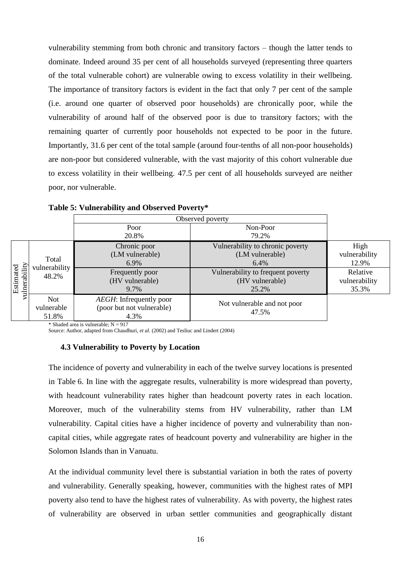vulnerability stemming from both chronic and transitory factors – though the latter tends to dominate. Indeed around 35 per cent of all households surveyed (representing three quarters of the total vulnerable cohort) are vulnerable owing to excess volatility in their wellbeing. The importance of transitory factors is evident in the fact that only 7 per cent of the sample (i.e. around one quarter of observed poor households) are chronically poor, while the vulnerability of around half of the observed poor is due to transitory factors; with the remaining quarter of currently poor households not expected to be poor in the future. Importantly, 31.6 per cent of the total sample (around four-tenths of all non-poor households) are non-poor but considered vulnerable, with the vast majority of this cohort vulnerable due to excess volatility in their wellbeing. 47.5 per cent of all households surveyed are neither poor, nor vulnerable.

|               |                                   | Observed poverty                                                     |                                      |               |
|---------------|-----------------------------------|----------------------------------------------------------------------|--------------------------------------|---------------|
|               |                                   | Poor                                                                 | Non-Poor                             |               |
|               |                                   | 20.8%                                                                | 79.2%                                |               |
|               |                                   | Chronic poor                                                         | Vulnerability to chronic poverty     | High          |
|               | Total                             | (LM vulnerable)                                                      | (LM vulnerable)                      |               |
|               | vulnerability                     | 6.9%                                                                 | 6.4%                                 | 12.9%         |
| Estimated     | 48.2%                             | Frequently poor                                                      | Vulnerability to frequent poverty    | Relative      |
|               |                                   | (HV vulnerable)                                                      | (HV vulnerable)                      | vulnerability |
| vulnerability |                                   | 9.7%                                                                 | 25.2%                                | 35.3%         |
|               | <b>Not</b><br>vulnerable<br>51.8% | <i>AEGH</i> : Infrequently poor<br>(poor but not vulnerable)<br>4.3% | Not vulnerable and not poor<br>47.5% |               |

**Table 5: Vulnerability and Observed Poverty\***

\* Shaded area is vulnerable;  $N = 917$ 

Source: Author, adapted from Chaudhuri, *et al.* (2002) and Tesliuc and Lindert (2004)

#### **4.3 Vulnerability to Poverty by Location**

The incidence of poverty and vulnerability in each of the twelve survey locations is presented in Table 6. In line with the aggregate results, vulnerability is more widespread than poverty, with headcount vulnerability rates higher than headcount poverty rates in each location. Moreover, much of the vulnerability stems from HV vulnerability, rather than LM vulnerability. Capital cities have a higher incidence of poverty and vulnerability than noncapital cities, while aggregate rates of headcount poverty and vulnerability are higher in the Solomon Islands than in Vanuatu.

At the individual community level there is substantial variation in both the rates of poverty and vulnerability. Generally speaking, however, communities with the highest rates of MPI poverty also tend to have the highest rates of vulnerability. As with poverty, the highest rates of vulnerability are observed in urban settler communities and geographically distant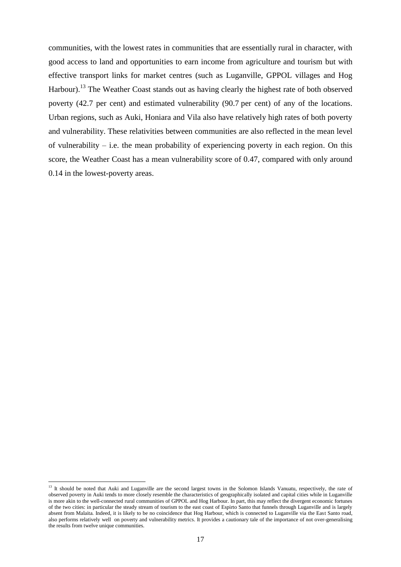communities, with the lowest rates in communities that are essentially rural in character, with good access to land and opportunities to earn income from agriculture and tourism but with effective transport links for market centres (such as Luganville, GPPOL villages and Hog Harbour).<sup>13</sup> The Weather Coast stands out as having clearly the highest rate of both observed poverty (42.7 per cent) and estimated vulnerability (90.7 per cent) of any of the locations. Urban regions, such as Auki, Honiara and Vila also have relatively high rates of both poverty and vulnerability. These relativities between communities are also reflected in the mean level of vulnerability – i.e. the mean probability of experiencing poverty in each region. On this score, the Weather Coast has a mean vulnerability score of 0.47, compared with only around 0.14 in the lowest-poverty areas.

1

<sup>&</sup>lt;sup>13</sup> It should be noted that Auki and Luganville are the second largest towns in the Solomon Islands Vanuatu, respectively, the rate of observed poverty in Auki tends to more closely resemble the characteristics of geographically isolated and capital cities while in Luganville is more akin to the well-connected rural communities of GPPOL and Hog Harbour. In part, this may reflect the divergent economic fortunes of the two cities: in particular the steady stream of tourism to the east coast of Espirto Santo that funnels through Luganville and is largely absent from Malaita. Indeed, it is likely to be no coincidence that Hog Harbour, which is connected to Luganville via the East Santo road, also performs relatively well on poverty and vulnerability metrics. It provides a cautionary tale of the importance of not over-generalising the results from twelve unique communities.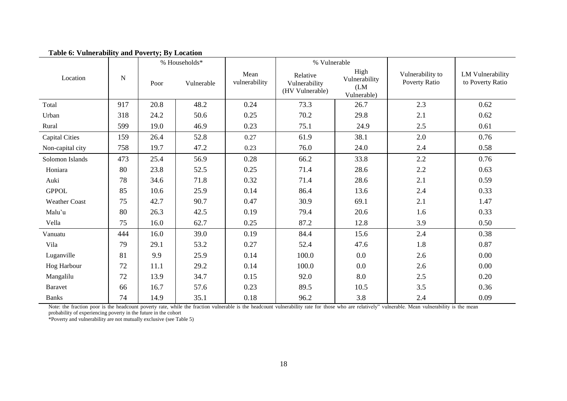| asic $\sigma$ . Tamerasing and $\sigma$ or $\sigma$ , $\sigma$ s $\sigma$ |           |      | % Households* |                       | % Vulnerable                                 |                                              |                                   |                                      |
|---------------------------------------------------------------------------|-----------|------|---------------|-----------------------|----------------------------------------------|----------------------------------------------|-----------------------------------|--------------------------------------|
| Location                                                                  | ${\bf N}$ | Poor | Vulnerable    | Mean<br>vulnerability | Relative<br>Vulnerability<br>(HV Vulnerable) | High<br>Vulnerability<br>(LM)<br>Vulnerable) | Vulnerability to<br>Poverty Ratio | LM Vulnerability<br>to Poverty Ratio |
| Total                                                                     | 917       | 20.8 | 48.2          | 0.24                  | 73.3                                         | 26.7                                         | 2.3                               | 0.62                                 |
| Urban                                                                     | 318       | 24.2 | 50.6          | 0.25                  | 70.2                                         | 29.8                                         | 2.1                               | 0.62                                 |
| Rural                                                                     | 599       | 19.0 | 46.9          | 0.23                  | 75.1                                         | 24.9                                         | 2.5                               | 0.61                                 |
| <b>Capital Cities</b>                                                     | 159       | 26.4 | 52.8          | 0.27                  | 61.9                                         | 38.1                                         | 2.0                               | 0.76                                 |
| Non-capital city                                                          | 758       | 19.7 | 47.2          | 0.23                  | 76.0                                         | 24.0                                         | 2.4                               | 0.58                                 |
| Solomon Islands                                                           | 473       | 25.4 | 56.9          | 0.28                  | 66.2                                         | 33.8                                         | 2.2                               | 0.76                                 |
| Honiara                                                                   | 80        | 23.8 | 52.5          | 0.25                  | 71.4                                         | 28.6                                         | $2.2\,$                           | 0.63                                 |
| Auki                                                                      | 78        | 34.6 | 71.8          | 0.32                  | 71.4                                         | 28.6                                         | 2.1                               | 0.59                                 |
| <b>GPPOL</b>                                                              | 85        | 10.6 | 25.9          | 0.14                  | 86.4                                         | 13.6                                         | 2.4                               | 0.33                                 |
| <b>Weather Coast</b>                                                      | 75        | 42.7 | 90.7          | 0.47                  | 30.9                                         | 69.1                                         | 2.1                               | 1.47                                 |
| Malu'u                                                                    | 80        | 26.3 | 42.5          | 0.19                  | 79.4                                         | 20.6                                         | 1.6                               | 0.33                                 |
| Vella                                                                     | 75        | 16.0 | 62.7          | 0.25                  | 87.2                                         | 12.8                                         | 3.9                               | 0.50                                 |
| Vanuatu                                                                   | 444       | 16.0 | 39.0          | 0.19                  | 84.4                                         | 15.6                                         | 2.4                               | 0.38                                 |
| Vila                                                                      | 79        | 29.1 | 53.2          | 0.27                  | 52.4                                         | 47.6                                         | 1.8                               | 0.87                                 |
| Luganville                                                                | 81        | 9.9  | 25.9          | 0.14                  | 100.0                                        | 0.0                                          | 2.6                               | 0.00                                 |
| Hog Harbour                                                               | 72        | 11.1 | 29.2          | 0.14                  | 100.0                                        | 0.0                                          | 2.6                               | 0.00                                 |
| Mangalilu                                                                 | 72        | 13.9 | 34.7          | 0.15                  | 92.0                                         | 8.0                                          | $2.5$                             | 0.20                                 |
| <b>Baravet</b>                                                            | 66        | 16.7 | 57.6          | 0.23                  | 89.5                                         | 10.5                                         | 3.5                               | 0.36                                 |
| <b>Banks</b>                                                              | 74        | 14.9 | 35.1          | 0.18                  | 96.2                                         | 3.8                                          | 2.4                               | 0.09                                 |

**Table 6: Vulnerability and Poverty; By Location**

Note: the fraction poor is the headcount poverty rate, while the fraction vulnerable is the headcount vulnerability rate for those who are relatively" vulnerable. Mean vulnerability is the mean probability of experiencing poverty in the future in the cohort

\*Poverty and vulnerability are not mutually exclusive (see Table 5)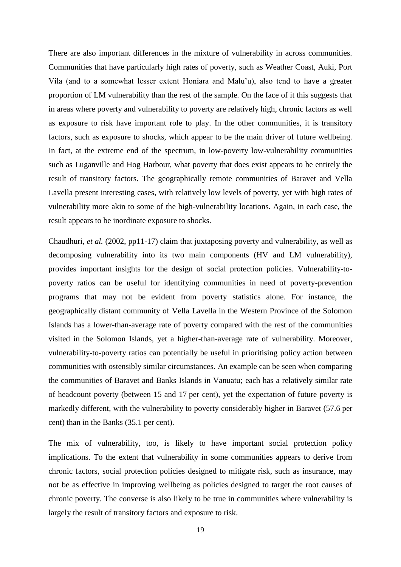There are also important differences in the mixture of vulnerability in across communities. Communities that have particularly high rates of poverty, such as Weather Coast, Auki, Port Vila (and to a somewhat lesser extent Honiara and Malu'u), also tend to have a greater proportion of LM vulnerability than the rest of the sample. On the face of it this suggests that in areas where poverty and vulnerability to poverty are relatively high, chronic factors as well as exposure to risk have important role to play. In the other communities, it is transitory factors, such as exposure to shocks, which appear to be the main driver of future wellbeing. In fact, at the extreme end of the spectrum, in low-poverty low-vulnerability communities such as Luganville and Hog Harbour, what poverty that does exist appears to be entirely the result of transitory factors. The geographically remote communities of Baravet and Vella Lavella present interesting cases, with relatively low levels of poverty, yet with high rates of vulnerability more akin to some of the high-vulnerability locations. Again, in each case, the result appears to be inordinate exposure to shocks.

Chaudhuri, *et al.* (2002, pp11-17) claim that juxtaposing poverty and vulnerability, as well as decomposing vulnerability into its two main components (HV and LM vulnerability), provides important insights for the design of social protection policies. Vulnerability-topoverty ratios can be useful for identifying communities in need of poverty-prevention programs that may not be evident from poverty statistics alone. For instance, the geographically distant community of Vella Lavella in the Western Province of the Solomon Islands has a lower-than-average rate of poverty compared with the rest of the communities visited in the Solomon Islands, yet a higher-than-average rate of vulnerability. Moreover, vulnerability-to-poverty ratios can potentially be useful in prioritising policy action between communities with ostensibly similar circumstances. An example can be seen when comparing the communities of Baravet and Banks Islands in Vanuatu; each has a relatively similar rate of headcount poverty (between 15 and 17 per cent), yet the expectation of future poverty is markedly different, with the vulnerability to poverty considerably higher in Baravet (57.6 per cent) than in the Banks (35.1 per cent).

The mix of vulnerability, too, is likely to have important social protection policy implications. To the extent that vulnerability in some communities appears to derive from chronic factors, social protection policies designed to mitigate risk, such as insurance, may not be as effective in improving wellbeing as policies designed to target the root causes of chronic poverty. The converse is also likely to be true in communities where vulnerability is largely the result of transitory factors and exposure to risk.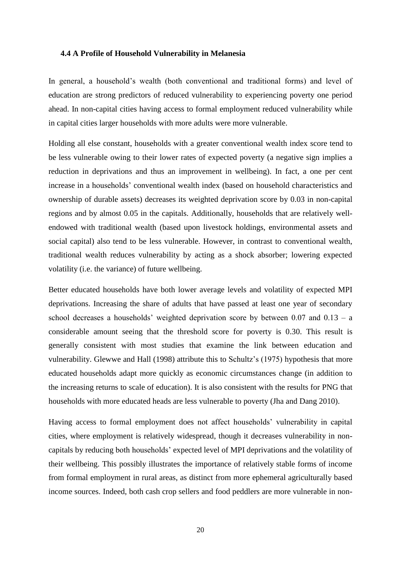#### **4.4 A Profile of Household Vulnerability in Melanesia**

In general, a household's wealth (both conventional and traditional forms) and level of education are strong predictors of reduced vulnerability to experiencing poverty one period ahead. In non-capital cities having access to formal employment reduced vulnerability while in capital cities larger households with more adults were more vulnerable.

Holding all else constant, households with a greater conventional wealth index score tend to be less vulnerable owing to their lower rates of expected poverty (a negative sign implies a reduction in deprivations and thus an improvement in wellbeing). In fact, a one per cent increase in a households' conventional wealth index (based on household characteristics and ownership of durable assets) decreases its weighted deprivation score by 0.03 in non-capital regions and by almost 0.05 in the capitals. Additionally, households that are relatively wellendowed with traditional wealth (based upon livestock holdings, environmental assets and social capital) also tend to be less vulnerable. However, in contrast to conventional wealth, traditional wealth reduces vulnerability by acting as a shock absorber; lowering expected volatility (i.e. the variance) of future wellbeing.

Better educated households have both lower average levels and volatility of expected MPI deprivations. Increasing the share of adults that have passed at least one year of secondary school decreases a households' weighted deprivation score by between 0.07 and 0.13 – a considerable amount seeing that the threshold score for poverty is 0.30. This result is generally consistent with most studies that examine the link between education and vulnerability. Glewwe and Hall (1998) attribute this to Schultz's (1975) hypothesis that more educated households adapt more quickly as economic circumstances change (in addition to the increasing returns to scale of education). It is also consistent with the results for PNG that households with more educated heads are less vulnerable to poverty (Jha and Dang 2010).

Having access to formal employment does not affect households' vulnerability in capital cities, where employment is relatively widespread, though it decreases vulnerability in noncapitals by reducing both households' expected level of MPI deprivations and the volatility of their wellbeing. This possibly illustrates the importance of relatively stable forms of income from formal employment in rural areas, as distinct from more ephemeral agriculturally based income sources. Indeed, both cash crop sellers and food peddlers are more vulnerable in non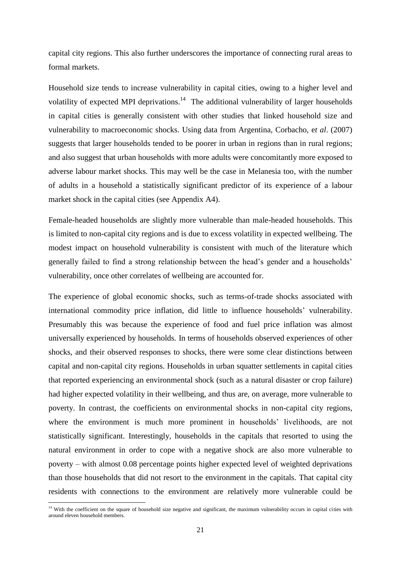capital city regions. This also further underscores the importance of connecting rural areas to formal markets.

Household size tends to increase vulnerability in capital cities, owing to a higher level and volatility of expected MPI deprivations.<sup>14</sup> The additional vulnerability of larger households in capital cities is generally consistent with other studies that linked household size and vulnerability to macroeconomic shocks. Using data from Argentina, Corbacho, e*t al*. (2007) suggests that larger households tended to be poorer in urban in regions than in rural regions; and also suggest that urban households with more adults were concomitantly more exposed to adverse labour market shocks. This may well be the case in Melanesia too, with the number of adults in a household a statistically significant predictor of its experience of a labour market shock in the capital cities (see Appendix A4).

Female-headed households are slightly more vulnerable than male-headed households. This is limited to non-capital city regions and is due to excess volatility in expected wellbeing. The modest impact on household vulnerability is consistent with much of the literature which generally failed to find a strong relationship between the head's gender and a households' vulnerability, once other correlates of wellbeing are accounted for.

The experience of global economic shocks, such as terms-of-trade shocks associated with international commodity price inflation, did little to influence households' vulnerability. Presumably this was because the experience of food and fuel price inflation was almost universally experienced by households. In terms of households observed experiences of other shocks, and their observed responses to shocks, there were some clear distinctions between capital and non-capital city regions. Households in urban squatter settlements in capital cities that reported experiencing an environmental shock (such as a natural disaster or crop failure) had higher expected volatility in their wellbeing, and thus are, on average, more vulnerable to poverty. In contrast, the coefficients on environmental shocks in non-capital city regions, where the environment is much more prominent in households' livelihoods, are not statistically significant. Interestingly, households in the capitals that resorted to using the natural environment in order to cope with a negative shock are also more vulnerable to poverty – with almost 0.08 percentage points higher expected level of weighted deprivations than those households that did not resort to the environment in the capitals. That capital city residents with connections to the environment are relatively more vulnerable could be

 $\overline{a}$ 

<sup>&</sup>lt;sup>14</sup> With the coefficient on the square of household size negative and significant, the maximum vulnerability occurs in capital cities with around eleven household members.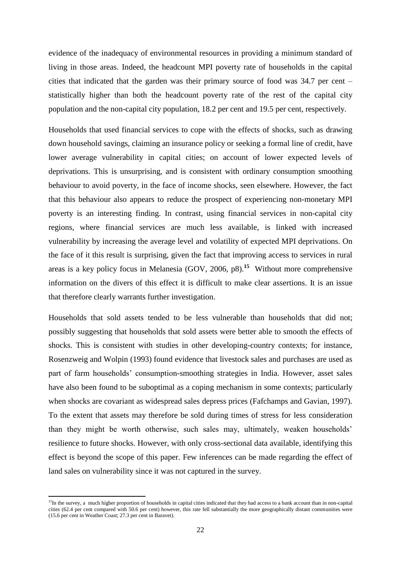evidence of the inadequacy of environmental resources in providing a minimum standard of living in those areas. Indeed, the headcount MPI poverty rate of households in the capital cities that indicated that the garden was their primary source of food was 34.7 per cent – statistically higher than both the headcount poverty rate of the rest of the capital city population and the non-capital city population, 18.2 per cent and 19.5 per cent, respectively.

Households that used financial services to cope with the effects of shocks, such as drawing down household savings, claiming an insurance policy or seeking a formal line of credit, have lower average vulnerability in capital cities; on account of lower expected levels of deprivations. This is unsurprising, and is consistent with ordinary consumption smoothing behaviour to avoid poverty, in the face of income shocks, seen elsewhere. However, the fact that this behaviour also appears to reduce the prospect of experiencing non-monetary MPI poverty is an interesting finding. In contrast, using financial services in non-capital city regions, where financial services are much less available, is linked with increased vulnerability by increasing the average level and volatility of expected MPI deprivations. On the face of it this result is surprising, given the fact that improving access to services in rural areas is a key policy focus in Melanesia (GOV, 2006, p8). **<sup>15</sup>** Without more comprehensive information on the divers of this effect it is difficult to make clear assertions. It is an issue that therefore clearly warrants further investigation.

Households that sold assets tended to be less vulnerable than households that did not; possibly suggesting that households that sold assets were better able to smooth the effects of shocks. This is consistent with studies in other developing-country contexts; for instance, Rosenzweig and Wolpin (1993) found evidence that livestock sales and purchases are used as part of farm households' consumption-smoothing strategies in India. However, asset sales have also been found to be suboptimal as a coping mechanism in some contexts; particularly when shocks are covariant as widespread sales depress prices (Fafchamps and Gavian, 1997). To the extent that assets may therefore be sold during times of stress for less consideration than they might be worth otherwise, such sales may, ultimately, weaken households' resilience to future shocks. However, with only cross-sectional data available, identifying this effect is beyond the scope of this paper. Few inferences can be made regarding the effect of land sales on vulnerability since it was not captured in the survey.

**.** 

<sup>&</sup>lt;sup>15</sup>In the survey, a much higher proportion of households in capital cities indicated that they had access to a bank account than in non-capital cities (62.4 per cent compared with 50.6 per cent) however, this rate fell substantially the more geographically distant communities were (15.6 per cent in Weather Coast; 27.3 per cent in Baravet).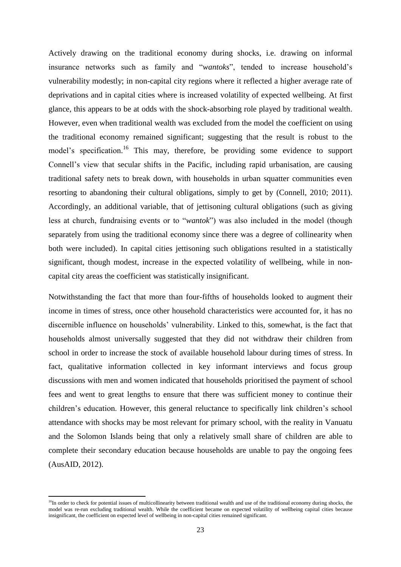Actively drawing on the traditional economy during shocks, i.e. drawing on informal insurance networks such as family and "*wantoks*", tended to increase household's vulnerability modestly; in non-capital city regions where it reflected a higher average rate of deprivations and in capital cities where is increased volatility of expected wellbeing. At first glance, this appears to be at odds with the shock-absorbing role played by traditional wealth. However, even when traditional wealth was excluded from the model the coefficient on using the traditional economy remained significant; suggesting that the result is robust to the model's specification.<sup>16</sup> This may, therefore, be providing some evidence to support Connell's view that secular shifts in the Pacific, including rapid urbanisation, are causing traditional safety nets to break down, with households in urban squatter communities even resorting to abandoning their cultural obligations, simply to get by (Connell, 2010; 2011). Accordingly, an additional variable, that of jettisoning cultural obligations (such as giving less at church, fundraising events or to "*wantok*") was also included in the model (though separately from using the traditional economy since there was a degree of collinearity when both were included). In capital cities jettisoning such obligations resulted in a statistically significant, though modest, increase in the expected volatility of wellbeing, while in noncapital city areas the coefficient was statistically insignificant.

Notwithstanding the fact that more than four-fifths of households looked to augment their income in times of stress, once other household characteristics were accounted for, it has no discernible influence on households' vulnerability. Linked to this, somewhat, is the fact that households almost universally suggested that they did not withdraw their children from school in order to increase the stock of available household labour during times of stress. In fact, qualitative information collected in key informant interviews and focus group discussions with men and women indicated that households prioritised the payment of school fees and went to great lengths to ensure that there was sufficient money to continue their children's education. However, this general reluctance to specifically link children's school attendance with shocks may be most relevant for primary school, with the reality in Vanuatu and the Solomon Islands being that only a relatively small share of children are able to complete their secondary education because households are unable to pay the ongoing fees (AusAID, 2012).

**.** 

 $16$ In order to check for potential issues of multicollinearity between traditional wealth and use of the traditional economy during shocks, the model was re-run excluding traditional wealth. While the coefficient became on expected volatility of wellbeing capital cities because insignificant, the coefficient on expected level of wellbeing in non-capital cities remained significant.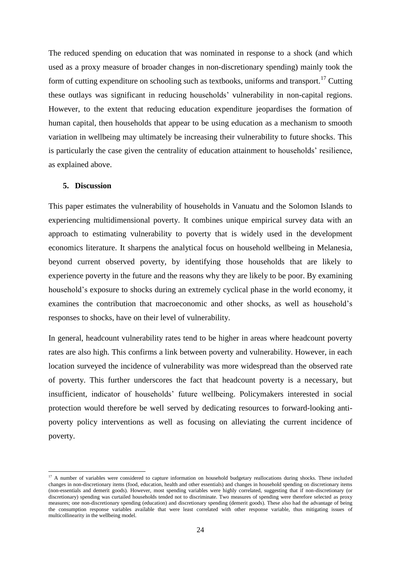The reduced spending on education that was nominated in response to a shock (and which used as a proxy measure of broader changes in non-discretionary spending) mainly took the form of cutting expenditure on schooling such as textbooks, uniforms and transport.<sup>17</sup> Cutting these outlays was significant in reducing households' vulnerability in non-capital regions. However, to the extent that reducing education expenditure jeopardises the formation of human capital, then households that appear to be using education as a mechanism to smooth variation in wellbeing may ultimately be increasing their vulnerability to future shocks. This is particularly the case given the centrality of education attainment to households' resilience, as explained above.

#### **5. Discussion**

 $\overline{a}$ 

This paper estimates the vulnerability of households in Vanuatu and the Solomon Islands to experiencing multidimensional poverty. It combines unique empirical survey data with an approach to estimating vulnerability to poverty that is widely used in the development economics literature. It sharpens the analytical focus on household wellbeing in Melanesia, beyond current observed poverty, by identifying those households that are likely to experience poverty in the future and the reasons why they are likely to be poor. By examining household's exposure to shocks during an extremely cyclical phase in the world economy, it examines the contribution that macroeconomic and other shocks, as well as household's responses to shocks, have on their level of vulnerability.

In general, headcount vulnerability rates tend to be higher in areas where headcount poverty rates are also high. This confirms a link between poverty and vulnerability. However, in each location surveyed the incidence of vulnerability was more widespread than the observed rate of poverty. This further underscores the fact that headcount poverty is a necessary, but insufficient, indicator of households' future wellbeing. Policymakers interested in social protection would therefore be well served by dedicating resources to forward-looking antipoverty policy interventions as well as focusing on alleviating the current incidence of poverty.

 $17$  A number of variables were considered to capture information on household budgetary reallocations during shocks. These included changes in non-discretionary items (food, education, health and other essentials) and changes in household spending on discretionary items (non-essentials and demerit goods). However, most spending variables were highly correlated, suggesting that if non-discretionary (or discretionary) spending was curtailed households tended not to discriminate. Two measures of spending were therefore selected as proxy measures; one non-discretionary spending (education) and discretionary spending (demerit goods). These also had the advantage of being the consumption response variables available that were least correlated with other response variable, thus mitigating issues of multicollinearity in the wellbeing model.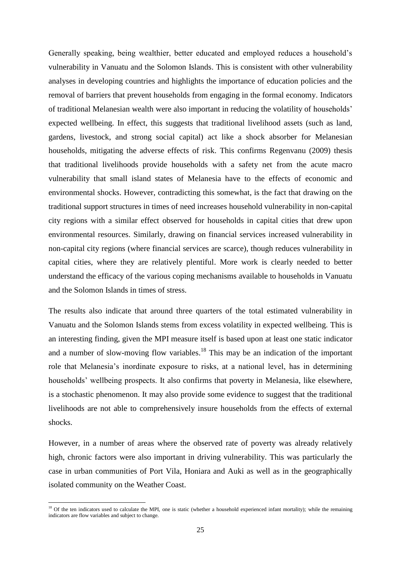Generally speaking, being wealthier, better educated and employed reduces a household's vulnerability in Vanuatu and the Solomon Islands. This is consistent with other vulnerability analyses in developing countries and highlights the importance of education policies and the removal of barriers that prevent households from engaging in the formal economy. Indicators of traditional Melanesian wealth were also important in reducing the volatility of households' expected wellbeing. In effect, this suggests that traditional livelihood assets (such as land, gardens, livestock, and strong social capital) act like a shock absorber for Melanesian households, mitigating the adverse effects of risk. This confirms Regenvanu (2009) thesis that traditional livelihoods provide households with a safety net from the acute macro vulnerability that small island states of Melanesia have to the effects of economic and environmental shocks. However, contradicting this somewhat, is the fact that drawing on the traditional support structures in times of need increases household vulnerability in non-capital city regions with a similar effect observed for households in capital cities that drew upon environmental resources. Similarly, drawing on financial services increased vulnerability in non-capital city regions (where financial services are scarce), though reduces vulnerability in capital cities, where they are relatively plentiful. More work is clearly needed to better understand the efficacy of the various coping mechanisms available to households in Vanuatu and the Solomon Islands in times of stress.

The results also indicate that around three quarters of the total estimated vulnerability in Vanuatu and the Solomon Islands stems from excess volatility in expected wellbeing. This is an interesting finding, given the MPI measure itself is based upon at least one static indicator and a number of slow-moving flow variables.<sup>18</sup> This may be an indication of the important role that Melanesia's inordinate exposure to risks, at a national level, has in determining households' wellbeing prospects. It also confirms that poverty in Melanesia, like elsewhere, is a stochastic phenomenon. It may also provide some evidence to suggest that the traditional livelihoods are not able to comprehensively insure households from the effects of external shocks.

However, in a number of areas where the observed rate of poverty was already relatively high, chronic factors were also important in driving vulnerability. This was particularly the case in urban communities of Port Vila, Honiara and Auki as well as in the geographically isolated community on the Weather Coast.

 $\overline{a}$ 

<sup>&</sup>lt;sup>18</sup> Of the ten indicators used to calculate the MPI, one is static (whether a household experienced infant mortality); while the remaining indicators are flow variables and subject to change.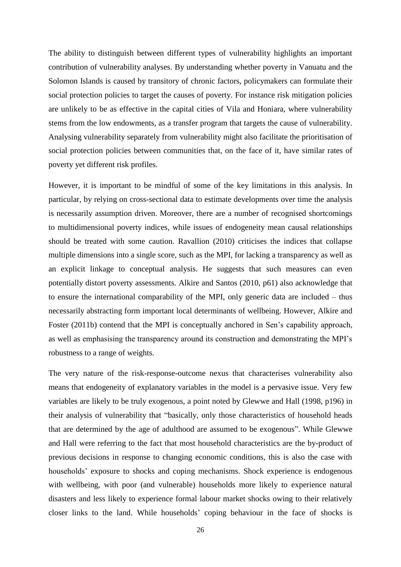The ability to distinguish between different types of vulnerability highlights an important contribution of vulnerability analyses. By understanding whether poverty in Vanuatu and the Solomon Islands is caused by transitory of chronic factors, policymakers can formulate their social protection policies to target the causes of poverty. For instance risk mitigation policies are unlikely to be as effective in the capital cities of Vila and Honiara, where vulnerability stems from the low endowments, as a transfer program that targets the cause of vulnerability. Analysing vulnerability separately from vulnerability might also facilitate the prioritisation of social protection policies between communities that, on the face of it, have similar rates of poverty yet different risk profiles.

However, it is important to be mindful of some of the key limitations in this analysis. In particular, by relying on cross-sectional data to estimate developments over time the analysis is necessarily assumption driven. Moreover, there are a number of recognised shortcomings to multidimensional poverty indices, while issues of endogeneity mean causal relationships should be treated with some caution. Ravallion (2010) criticises the indices that collapse multiple dimensions into a single score, such as the MPI, for lacking a transparency as well as an explicit linkage to conceptual analysis. He suggests that such measures can even potentially distort poverty assessments. Alkire and Santos (2010, p61) also acknowledge that to ensure the international comparability of the MPI, only generic data are included – thus necessarily abstracting form important local determinants of wellbeing. However, Alkire and Foster (2011b) contend that the MPI is conceptually anchored in Sen's capability approach, as well as emphasising the transparency around its construction and demonstrating the MPI's robustness to a range of weights.

The very nature of the risk-response-outcome nexus that characterises vulnerability also means that endogeneity of explanatory variables in the model is a pervasive issue. Very few variables are likely to be truly exogenous, a point noted by Glewwe and Hall (1998, p196) in their analysis of vulnerability that "basically, only those characteristics of household heads that are determined by the age of adulthood are assumed to be exogenous". While Glewwe and Hall were referring to the fact that most household characteristics are the by-product of previous decisions in response to changing economic conditions, this is also the case with households' exposure to shocks and coping mechanisms. Shock experience is endogenous with wellbeing, with poor (and vulnerable) households more likely to experience natural disasters and less likely to experience formal labour market shocks owing to their relatively closer links to the land. While households' coping behaviour in the face of shocks is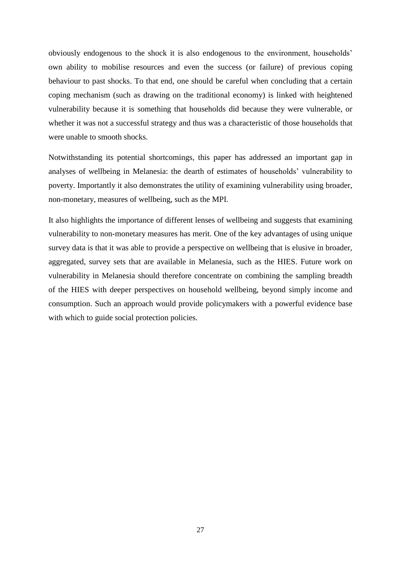obviously endogenous to the shock it is also endogenous to the environment, households' own ability to mobilise resources and even the success (or failure) of previous coping behaviour to past shocks. To that end, one should be careful when concluding that a certain coping mechanism (such as drawing on the traditional economy) is linked with heightened vulnerability because it is something that households did because they were vulnerable, or whether it was not a successful strategy and thus was a characteristic of those households that were unable to smooth shocks.

Notwithstanding its potential shortcomings, this paper has addressed an important gap in analyses of wellbeing in Melanesia: the dearth of estimates of households' vulnerability to poverty. Importantly it also demonstrates the utility of examining vulnerability using broader, non-monetary, measures of wellbeing, such as the MPI.

It also highlights the importance of different lenses of wellbeing and suggests that examining vulnerability to non-monetary measures has merit. One of the key advantages of using unique survey data is that it was able to provide a perspective on wellbeing that is elusive in broader, aggregated, survey sets that are available in Melanesia, such as the HIES. Future work on vulnerability in Melanesia should therefore concentrate on combining the sampling breadth of the HIES with deeper perspectives on household wellbeing, beyond simply income and consumption. Such an approach would provide policymakers with a powerful evidence base with which to guide social protection policies.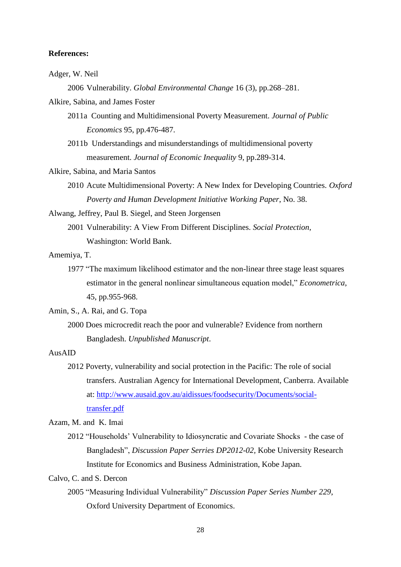#### **References:**

#### Adger, W. Neil

2006 Vulnerability. *Global Environmental Change* 16 (3), pp.268–281.

Alkire, Sabina, and James Foster

- 2011a Counting and Multidimensional Poverty Measurement. *Journal of Public Economics* 95, pp.476-487.
- 2011b Understandings and misunderstandings of multidimensional poverty measurement. *Journal of Economic Inequality* 9, pp.289-314.

Alkire, Sabina, and Maria Santos

2010 Acute Multidimensional Poverty: A New Index for Developing Countries. *Oxford Poverty and Human Development Initiative Working Paper*, No. 38.

Alwang, Jeffrey, Paul B. Siegel, and Steen Jorgensen

2001 Vulnerability: A View From Different Disciplines. *Social Protection,* Washington: World Bank.

Amemiya, T.

1977 "The maximum likelihood estimator and the non-linear three stage least squares estimator in the general nonlinear simultaneous equation model," *Econometrica*, 45, pp.955-968.

Amin, S., A. Rai, and G. Topa

2000 Does microcredit reach the poor and vulnerable? Evidence from northern Bangladesh. *Unpublished Manuscript*.

AusAID

2012 Poverty, vulnerability and social protection in the Pacific: The role of social transfers. Australian Agency for International Development, Canberra. Available at: [http://www.ausaid.gov.au/aidissues/foodsecurity/Documents/social](http://www.ausaid.gov.au/aidissues/foodsecurity/Documents/social-transfer.pdf)[transfer.pdf](http://www.ausaid.gov.au/aidissues/foodsecurity/Documents/social-transfer.pdf)

Azam, M. and K. Imai

2012 ―Households' Vulnerability to Idiosyncratic and Covariate Shocks- the case of Bangladesh", *Discussion Paper Serries DP2012-02*, Kobe University Research Institute for Economics and Business Administration, Kobe Japan.

Calvo, C. and S. Dercon

2005 "Measuring Individual Vulnerability" Discussion Paper Series Number 229, Oxford University Department of Economics.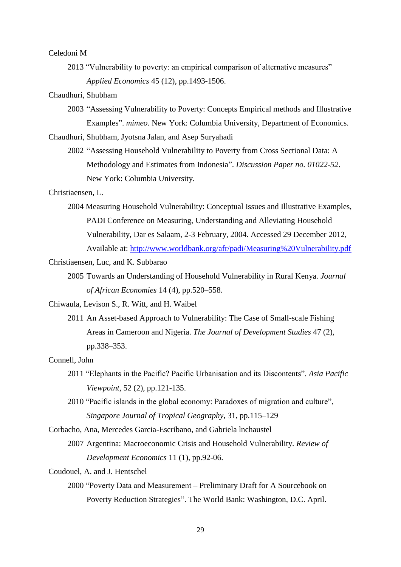#### Celedoni M

2013 "Vulnerability to poverty: an empirical comparison of alternative measures" *Applied Economics* 45 (12), pp.1493-1506.

## Chaudhuri, Shubham

2003 ―Assessing Vulnerability to Poverty: Concepts Empirical methods and Illustrative Examples". *mimeo.* New York: Columbia University, Department of Economics.

Chaudhuri, Shubham, Jyotsna Jalan, and Asep Suryahadi

2002 "Assessing Household Vulnerability to Poverty from Cross Sectional Data: A Methodology and Estimates from Indonesia". *Discussion Paper no. 01022-52*. New York: Columbia University.

## Christiaensen, L.

2004 Measuring Household Vulnerability: Conceptual Issues and Illustrative Examples, PADI Conference on Measuring, Understanding and Alleviating Household Vulnerability, Dar es Salaam, 2-3 February, 2004. Accessed 29 December 2012, Available at: <http://www.worldbank.org/afr/padi/Measuring%20Vulnerability.pdf>

## Christiaensen, Luc, and K. Subbarao

2005 Towards an Understanding of Household Vulnerability in Rural Kenya. *Journal of African Economies* 14 (4), pp.520–558.

Chiwaula, Levison S., R. Witt, and H. Waibel

2011 An Asset-based Approach to Vulnerability: The Case of Small-scale Fishing Areas in Cameroon and Nigeria. *The Journal of Development Studies* 47 (2), pp.338–353.

#### Connell, John

- 2011 ―Elephants in the Pacific? Pacific Urbanisation and its Discontents‖. *Asia Pacific Viewpoint*, 52 (2), pp.121-135.
- 2010 "Pacific islands in the global economy: Paradoxes of migration and culture", *Singapore Journal of Tropical Geography,* 31, pp.115–129

Corbacho, Ana, Mercedes Garcia-Escribano, and Gabriela lnchaustel

2007 Argentina: Macroeconomic Crisis and Household Vulnerability. *Review of Development Economics* 11 (1), pp.92-06.

- Coudouel, A. and J. Hentschel
	- 2000 ―Poverty Data and Measurement Preliminary Draft for A Sourcebook on Poverty Reduction Strategies". The World Bank: Washington, D.C. April.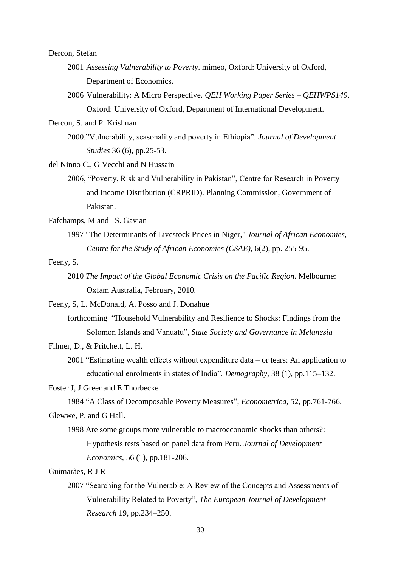Dercon, Stefan

- 2001 *Assessing Vulnerability to Poverty*. mimeo*,* Oxford: University of Oxford, Department of Economics.
- 2006 Vulnerability: A Micro Perspective. *QEH Working Paper Series – QEHWPS149*, Oxford: University of Oxford, Department of International Development.

Dercon, S. and P. Krishnan

2000."Vulnerability, seasonality and poverty in Ethiopia". *Journal of Development Studies* 36 (6), pp.25-53.

del Ninno C., G Vecchi and N Hussain

2006, "Poverty, Risk and Vulnerability in Pakistan", Centre for Research in Poverty and Income Distribution (CRPRID). Planning Commission, Government of Pakistan.

Fafchamps, M and S. Gavian

- 1997 "The Determinants of Livestock Prices in Niger," *Journal of African Economies, Centre for the Study of African Economies (CSAE)*, 6(2), pp. 255-95.
- Feeny, S.
	- 2010 *The Impact of the Global Economic Crisis on the Pacific Region*. Melbourne: Oxfam Australia, February, 2010.

Feeny, S, L. McDonald, A. Posso and J. Donahue

forthcoming "Household Vulnerability and Resilience to Shocks: Findings from the Solomon Islands and Vanuatu", *State Society and Governance in Melanesia* 

Filmer, D., & Pritchett, L. H.

 $2001$  "Estimating wealth effects without expenditure data – or tears: An application to educational enrolments in states of India". *Demography*, 38 (1), pp.115–132.

Foster J, J Greer and E Thorbecke

1984 "A Class of Decomposable Poverty Measures", *Econometrica*, 52, pp.761-766.

Glewwe, P. and G Hall.

1998 Are some groups more vulnerable to macroeconomic shocks than others?: Hypothesis tests based on panel data from Peru. *Journal of Development Economics*, 56 (1), pp.181-206.

Guimarães, R J R

2007 "Searching for the Vulnerable: A Review of the Concepts and Assessments of Vulnerability Related to Poverty", *The European Journal of Development Research* 19, pp.234–250.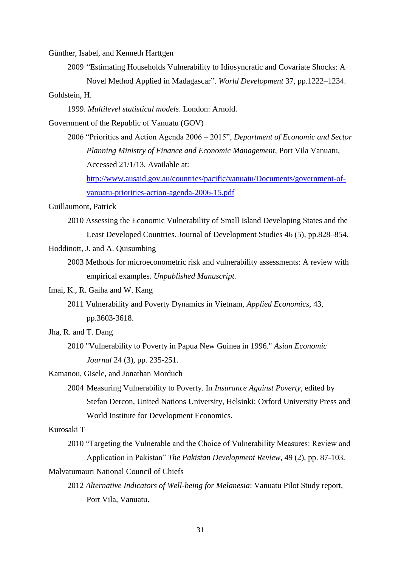Günther, Isabel, and Kenneth Harttgen

2009 "Estimating Households Vulnerability to Idiosyncratic and Covariate Shocks: A

Novel Method Applied in Madagascar". *World Development* 37, pp.1222–1234.

Goldstein, H.

1999. *Multilevel statistical models*. London: Arnold.

Government of the Republic of Vanuatu (GOV)

2006 ―Priorities and Action Agenda 2006 – 2015‖, *Department of Economic and Sector Planning Ministry of Finance and Economic Management,* Port Vila Vanuatu, Accessed 21/1/13, Available at: [http://www.ausaid.gov.au/countries/pacific/vanuatu/Documents/government-of-](http://www.ausaid.gov.au/countries/pacific/vanuatu/Documents/government-of-vanuatu-priorities-action-agenda-2006-15.pdf)

[vanuatu-priorities-action-agenda-2006-15.pdf](http://www.ausaid.gov.au/countries/pacific/vanuatu/Documents/government-of-vanuatu-priorities-action-agenda-2006-15.pdf)

Guillaumont, Patrick

- 2010 Assessing the Economic Vulnerability of Small Island Developing States and the Least Developed Countries. Journal of Development Studies 46 (5), pp.828–854.
- Hoddinott, J. and A. Quisumbing
	- 2003 Methods for microeconometric risk and vulnerability assessments: A review with empirical examples. *Unpublished Manuscript.*
- Imai, K., R. Gaiha and W. Kang
	- 2011 Vulnerability and Poverty Dynamics in Vietnam, *Applied Economics*, 43, pp.3603-3618.
- Jha, R. and T. Dang
	- 2010 "Vulnerability to Poverty in Papua New Guinea in 1996." *Asian Economic Journal* 24 (3), pp. 235-251.

Kamanou, Gisele, and Jonathan Morduch

2004 Measuring Vulnerability to Poverty. In *Insurance Against Poverty*, edited by Stefan Dercon, United Nations University, Helsinki: Oxford University Press and World Institute for Development Economics.

Kurosaki T

2010 "Targeting the Vulnerable and the Choice of Vulnerability Measures: Review and Application in Pakistan" *The Pakistan Development Review*, 49 (2), pp. 87-103.

Malvatumauri National Council of Chiefs

2012 *Alternative Indicators of Well-being for Melanesia*: Vanuatu Pilot Study report, Port Vila, Vanuatu.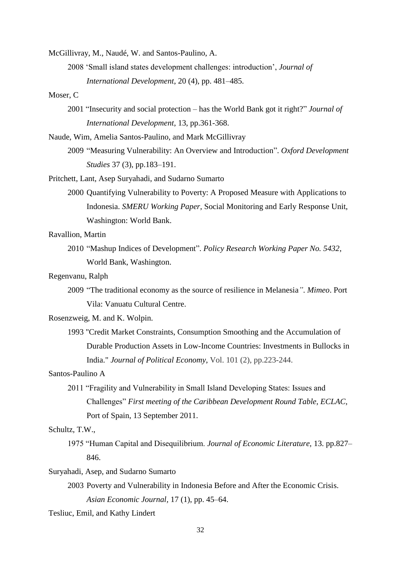McGillivray, M., Naudé, W. and Santos-Paulino, A.

2008 ‗Small island states development challenges: introduction', *Journal of International Development*, 20 (4), pp. 481–485.

## Moser, C

- 2001 "Insecurity and social protection has the World Bank got it right?" *Journal of International Development*, 13, pp.361-368.
- Naude, Wim, Amelia Santos-Paulino, and Mark McGillivray
	- 2009 "Measuring Vulnerability: An Overview and Introduction". Oxford Development *Studies* 37 (3), pp.183–191.
- Pritchett, Lant, Asep Suryahadi, and Sudarno Sumarto
	- 2000 Quantifying Vulnerability to Poverty: A Proposed Measure with Applications to Indonesia. *SMERU Working Paper*, Social Monitoring and Early Response Unit, Washington: World Bank.

Ravallion, Martin

2010 "Mashup Indices of Development". *Policy Research Working Paper No. 5432*, World Bank, Washington.

## Regenvanu, Ralph

2009 ―The traditional economy as the source of resilience in Melanesia*"*. *Mimeo*. Port Vila: Vanuatu Cultural Centre.

Rosenzweig, M. and K. Wolpin.

1993 "Credit Market Constraints, Consumption Smoothing and the Accumulation of Durable Production Assets in Low-Income Countries: Investments in Bullocks in India." *Journal of Political Economy*, Vol. 101 (2), pp.223-244.

#### Santos-Paulino A

2011 "Fragility and Vulnerability in Small Island Developing States: Issues and Challenges" *First meeting of the Caribbean Development Round Table, ECLAC,* Port of Spain, 13 September 2011.

## Schultz, T.W.,

1975 ―Human Capital and Disequilibrium. *Journal of Economic Literature,* 13. pp.827– 846.

Suryahadi, Asep, and Sudarno Sumarto

2003 Poverty and Vulnerability in Indonesia Before and After the Economic Crisis. *Asian Economic Journal,* 17 (1), pp. 45–64.

Tesliuc, Emil, and Kathy Lindert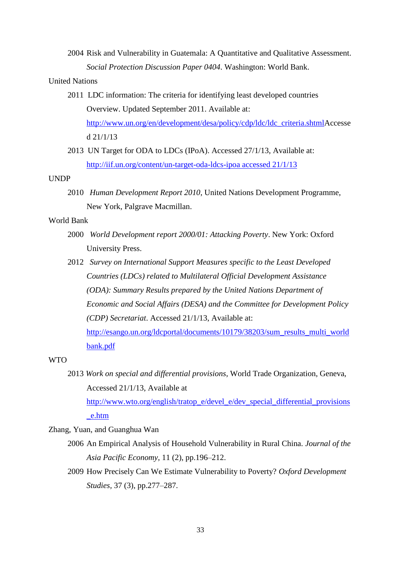2004 Risk and Vulnerability in Guatemala: A Quantitative and Qualitative Assessment. *Social Protection Discussion Paper 0404*. Washington: World Bank.

#### United Nations

- 2011 LDC information: The criteria for identifying least developed countries Overview. Updated September 2011. Available at: [http://www.un.org/en/development/desa/policy/cdp/ldc/ldc\\_criteria.shtmlA](http://www.un.org/en/development/desa/policy/cdp/ldc/ldc_criteria.shtml)ccesse d 21/1/13
- 2013 UN Target for ODA to LDCs (IPoA). Accessed 27/1/13, Available at: [http://iif.un.org/content/un-target-oda-ldcs-ipoa accessed 21/1/13](http://iif.un.org/content/un-target-oda-ldcs-ipoa%20accessed%2021/1/13)

## UNDP

2010 *Human Development Report 2010*, United Nations Development Programme, New York, Palgrave Macmillan.

## World Bank

- 2000 *World Development report 2000/01: Attacking Poverty*. New York: Oxford University Press.
- 2012 *Survey on International Support Measures specific to the Least Developed Countries (LDCs) related to Multilateral Official Development Assistance (ODA): Summary Results prepared by the United Nations Department of Economic and Social Affairs (DESA) and the Committee for Development Policy (CDP) Secretariat*. Accessed 21/1/13, Available at:

[http://esango.un.org/ldcportal/documents/10179/38203/sum\\_results\\_multi\\_world](http://esango.un.org/ldcportal/documents/10179/38203/sum_results_multi_worldbank.pdf) [bank.pdf](http://esango.un.org/ldcportal/documents/10179/38203/sum_results_multi_worldbank.pdf)

## WTO

2013 *Work on special and differential provisions*, World Trade Organization, Geneva, Accessed 21/1/13, Available at

[http://www.wto.org/english/tratop\\_e/devel\\_e/dev\\_special\\_differential\\_provisions](http://www.wto.org/english/tratop_e/devel_e/dev_special_differential_provisions_e.htm) [\\_e.htm](http://www.wto.org/english/tratop_e/devel_e/dev_special_differential_provisions_e.htm)

Zhang, Yuan, and Guanghua Wan

- 2006 An Empirical Analysis of Household Vulnerability in Rural China. *Journal of the Asia Pacific Economy,* 11 (2), pp.196–212.
- 2009 How Precisely Can We Estimate Vulnerability to Poverty? *Oxford Development Studies,* 37 (3), pp.277–287.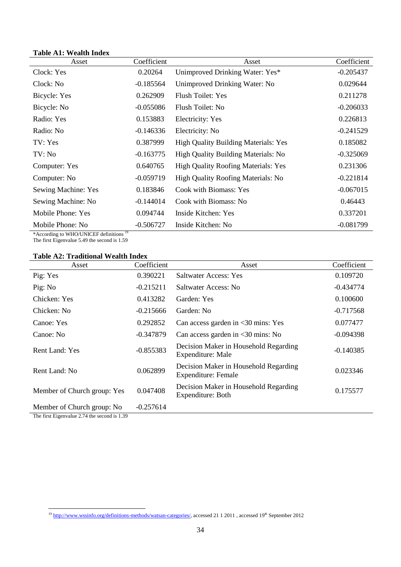## **Table A1: Wealth Index**

| Asset               | Coefficient | Asset                                       | Coefficient |
|---------------------|-------------|---------------------------------------------|-------------|
| Clock: Yes          | 0.20264     | Unimproved Drinking Water: Yes*             | $-0.205437$ |
| Clock: No           | $-0.185564$ | Unimproved Drinking Water: No               | 0.029644    |
| Bicycle: Yes        | 0.262909    | <b>Flush Toilet: Yes</b>                    | 0.211278    |
| Bicycle: No         | $-0.055086$ | Flush Toilet: No                            | $-0.206033$ |
| Radio: Yes          | 0.153883    | <b>Electricity:</b> Yes                     | 0.226813    |
| Radio: No           | $-0.146336$ | Electricity: No                             | $-0.241529$ |
| TV: Yes             | 0.387999    | <b>High Quality Building Materials: Yes</b> | 0.185082    |
| TV: No              | $-0.163775$ | High Quality Building Materials: No         | $-0.325069$ |
| Computer: Yes       | 0.640765    | High Quality Roofing Materials: Yes         | 0.231306    |
| Computer: No.       | $-0.059719$ | High Quality Roofing Materials: No          | $-0.221814$ |
| Sewing Machine: Yes | 0.183846    | Cook with Biomass: Yes                      | $-0.067015$ |
| Sewing Machine: No  | $-0.144014$ | Cook with Biomass: No                       | 0.46443     |
| Mobile Phone: Yes   | 0.094744    | Inside Kitchen: Yes                         | 0.337201    |
| Mobile Phone: No    | $-0.506727$ | Inside Kitchen: No                          | $-0.081799$ |

\*According to WHO/UNICEF definitions<sup>19</sup>

The first Eigenvalue 5.49 the second is 1.59

l,

## **Table A2: Traditional Wealth Index**

| Asset                       | Coefficient | Asset                                                        | Coefficient |
|-----------------------------|-------------|--------------------------------------------------------------|-------------|
| Pig: Yes                    | 0.390221    | <b>Saltwater Access: Yes</b>                                 | 0.109720    |
| Pig: No                     | $-0.215211$ | <b>Saltwater Access: No</b>                                  | $-0.434774$ |
| Chicken: Yes                | 0.413282    | Garden: Yes                                                  | 0.100600    |
| Chicken: No                 | $-0.215666$ | Garden: No                                                   | $-0.717568$ |
| Canoe: Yes                  | 0.292852    | Can access garden in $\leq 30$ mins: Yes                     | 0.077477    |
| Canoe: No                   | $-0.347879$ | Can access garden in $\leq 30$ mins: No                      | $-0.094398$ |
| <b>Rent Land: Yes</b>       | $-0.855383$ | Decision Maker in Household Regarding<br>Expenditure: Male   | $-0.140385$ |
| Rent Land: No.              | 0.062899    | Decision Maker in Household Regarding<br>Expenditure: Female | 0.023346    |
| Member of Church group: Yes | 0.047408    | Decision Maker in Household Regarding<br>Expenditure: Both   | 0.175577    |
| Member of Church group: No  | $-0.257614$ |                                                              |             |

The first Eigenvalue 2.74 the second is 1.39

**.** 

<sup>&</sup>lt;sup>19</sup> [http://www.wssinfo.org/definitions-methods/watsan-categories/,](http://www.wssinfo.org/definitions-methods/watsan-categories/) accessed 21 1 2011, accessed 19<sup>th</sup> September 2012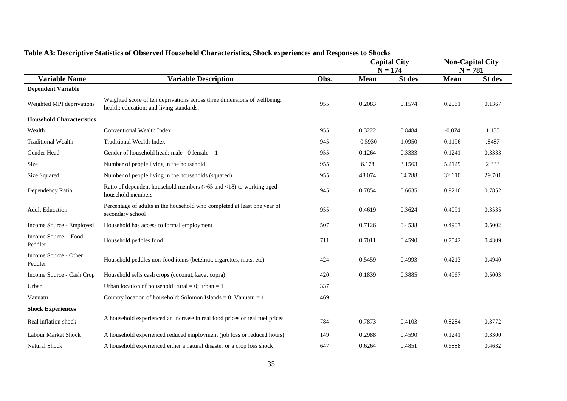|                                  |                                                                                                                      |      | <b>Capital City</b><br>$N = 174$ |        | <b>Non-Capital City</b><br>$N = 781$ |        |
|----------------------------------|----------------------------------------------------------------------------------------------------------------------|------|----------------------------------|--------|--------------------------------------|--------|
| <b>Variable Name</b>             | <b>Variable Description</b>                                                                                          | Obs. | <b>Mean</b>                      | St dev | Mean                                 | St dev |
| <b>Dependent Variable</b>        |                                                                                                                      |      |                                  |        |                                      |        |
| Weighted MPI deprivations        | Weighted score of ten deprivations across three dimensions of wellbeing:<br>health; education; and living standards. | 955  | 0.2083                           | 0.1574 | 0.2061                               | 0.1367 |
| <b>Household Characteristics</b> |                                                                                                                      |      |                                  |        |                                      |        |
| Wealth                           | Conventional Wealth Index                                                                                            | 955  | 0.3222                           | 0.8484 | $-0.074$                             | 1.135  |
| <b>Traditional Wealth</b>        | <b>Traditional Wealth Index</b>                                                                                      | 945  | $-0.5930$                        | 1.0950 | 0.1196                               | .8487  |
| Gender Head                      | Gender of household head: male= 0 female = 1                                                                         | 955  | 0.1264                           | 0.3333 | 0.1241                               | 0.3333 |
| Size                             | Number of people living in the household                                                                             | 955  | 6.178                            | 3.1563 | 5.2129                               | 2.333  |
| Size Squared                     | Number of people living in the households (squared)                                                                  | 955  | 48.074                           | 64.788 | 32.610                               | 29.701 |
| Dependency Ratio                 | Ratio of dependent household members $(>65 \text{ and } <18)$ to working aged<br>household members                   | 945  | 0.7854                           | 0.6635 | 0.9216                               | 0.7852 |
| <b>Adult Education</b>           | Percentage of adults in the household who completed at least one year of<br>secondary school                         | 955  | 0.4619                           | 0.3624 | 0.4091                               | 0.3535 |
| Income Source - Employed         | Household has access to formal employment                                                                            | 507  | 0.7126                           | 0.4538 | 0.4907                               | 0.5002 |
| Income Source - Food<br>Peddler  | Household peddles food                                                                                               | 711  | 0.7011                           | 0.4590 | 0.7542                               | 0.4309 |
| Income Source - Other<br>Peddler | Household peddles non-food items (betelnut, cigarettes, mats, etc)                                                   | 424  | 0.5459                           | 0.4993 | 0.4213                               | 0.4940 |
| Income Source - Cash Crop        | Household sells cash crops (coconut, kava, copra)                                                                    | 420  | 0.1839                           | 0.3885 | 0.4967                               | 0.5003 |
| Urban                            | Urban location of household: rural = 0; urban = 1                                                                    | 337  |                                  |        |                                      |        |
| Vanuatu                          | Country location of household: Solomon Islands = 0; Vanuatu = 1                                                      | 469  |                                  |        |                                      |        |
| <b>Shock Experiences</b>         |                                                                                                                      |      |                                  |        |                                      |        |
| Real inflation shock             | A household experienced an increase in real food prices or real fuel prices                                          | 784  | 0.7873                           | 0.4103 | 0.8284                               | 0.3772 |
| Labour Market Shock              | A household experienced reduced employment (job loss or reduced hours)                                               | 149  | 0.2988                           | 0.4590 | 0.1241                               | 0.3300 |
| <b>Natural Shock</b>             | A household experienced either a natural disaster or a crop loss shock                                               | 647  | 0.6264                           | 0.4851 | 0.6888                               | 0.4632 |

## **Table A3: Descriptive Statistics of Observed Household Characteristics, Shock experiences and Responses to Shocks**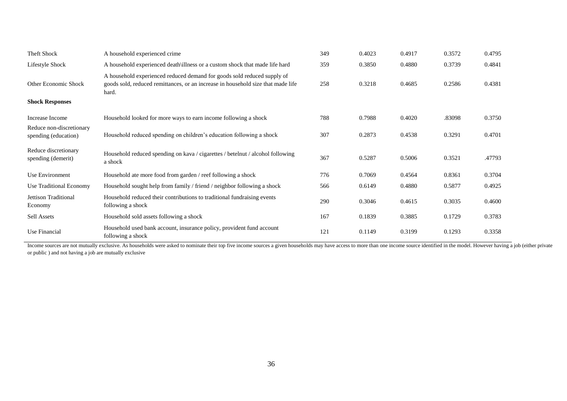| <b>Theft Shock</b>                               | A household experienced crime                                                                                                                                        | 349 | 0.4023 | 0.4917 | 0.3572 | 0.4795 |
|--------------------------------------------------|----------------------------------------------------------------------------------------------------------------------------------------------------------------------|-----|--------|--------|--------|--------|
| Lifestyle Shock                                  | A household experienced death\illness or a custom shock that made life hard                                                                                          | 359 | 0.3850 | 0.4880 | 0.3739 | 0.4841 |
| Other Economic Shock                             | A household experienced reduced demand for goods sold reduced supply of<br>goods sold, reduced remittances, or an increase in household size that made life<br>hard. | 258 | 0.3218 | 0.4685 | 0.2586 | 0.4381 |
| <b>Shock Responses</b>                           |                                                                                                                                                                      |     |        |        |        |        |
| Increase Income                                  | Household looked for more ways to earn income following a shock                                                                                                      | 788 | 0.7988 | 0.4020 | .83098 | 0.3750 |
| Reduce non-discretionary<br>spending (education) | Household reduced spending on children's education following a shock                                                                                                 | 307 | 0.2873 | 0.4538 | 0.3291 | 0.4701 |
| Reduce discretionary<br>spending (demerit)       | Household reduced spending on kava / cigarettes / betelnut / alcohol following<br>a shock                                                                            | 367 | 0.5287 | 0.5006 | 0.3521 | .47793 |
| Use Environment                                  | Household ate more food from garden / reef following a shock                                                                                                         | 776 | 0.7069 | 0.4564 | 0.8361 | 0.3704 |
| Use Traditional Economy                          | Household sought help from family / friend / neighbor following a shock                                                                                              | 566 | 0.6149 | 0.4880 | 0.5877 | 0.4925 |
| Jettison Traditional<br>Economy                  | Household reduced their contributions to traditional fundraising events<br>following a shock                                                                         | 290 | 0.3046 | 0.4615 | 0.3035 | 0.4600 |
| Sell Assets                                      | Household sold assets following a shock                                                                                                                              | 167 | 0.1839 | 0.3885 | 0.1729 | 0.3783 |
| Use Financial                                    | Household used bank account, insurance policy, provident fund account<br>following a shock                                                                           | 121 | 0.1149 | 0.3199 | 0.1293 | 0.3358 |

Income sources are not mutually exclusive. As households were asked to nominate their top five income sources a given households may have access to more than one income source identified in the model. However having a job or public ) and not having a job are mutually exclusive